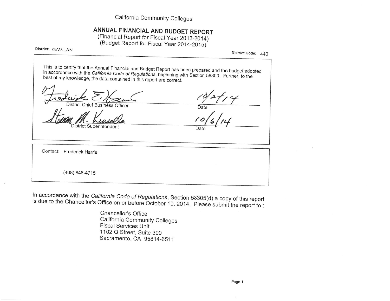California Community Colleges

# ANNUAL FINANCIAL AND BUDGET REPORT

(Financial Report for Fiscal Year 2013-2014) (Budget Report for Fiscal Year 2014-2015)

District: GAVILAN

District Code: 440

This is to certify that the Annual Financial and Budget Report has been prepared and the budget adopted in accordance with the California Code of Regulations, beginning with Section 58300. Further, to the best of my knowledge, the data contained in this report are correct.

District Chief Business Officer

istrict Superintendent

Date

Date

Contact: Frederick Harris

(408) 848-4715

In accordance with the California Code of Regulations, Section 58305(d) a copy of this report is due to the Chancellor's Office on or before October 10, 2014. Please submit the report to :

> Chancellor's Office California Community Colleges **Fiscal Services Unit** 1102 Q Street, Suite 300 Sacramento, CA 95814-6511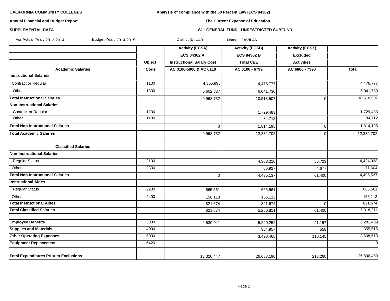# **Analysis of compliance with the 50 Percent Law (ECS 84362)**

# **Annual Financial and Budget Report**

# **The Current Expense of Education**

# **SUPPLEMENTAL DATA S11 GENERAL FUND - UNRESTRICTED SUBFUND**

| For Actual Year: 2013-2014<br>Budget Year: 2014-2015 |        | District ID: 440                 | Name: GAVILAN          |                        |                |
|------------------------------------------------------|--------|----------------------------------|------------------------|------------------------|----------------|
|                                                      |        | <b>Activity (ECSA)</b>           | <b>Activity (ECSB)</b> | <b>Activity (ECSX)</b> |                |
|                                                      |        | <b>ECS 84362 A</b>               | <b>ECS 84362 B</b>     | <b>Excluded</b>        |                |
|                                                      | Object | <b>Instructional Salary Cost</b> | <b>Total CEE</b>       | <b>Activities</b>      |                |
| <b>Academic Salaries</b>                             | Code   | AC 0100-5900 & AC 6110           | AC 0100 - 6799         | AC 6800 - 7390         | <b>Total</b>   |
| <b>Instructional Salaries</b>                        |        |                                  |                        |                        |                |
| Contract or Regular                                  | 1100   | 4,365,895                        | 4,476,777              |                        | 4,476,777      |
| Other                                                | 1300   | 5,602,837                        | 6,041,730              |                        | 6,041,730      |
| <b>Total Instructional Salaries</b>                  |        | 9,968,732                        | 10,518,507             | $\mathbf 0$            | 10,518,507     |
| <b>Non-Instructional Salaries</b>                    |        |                                  |                        |                        |                |
| Contract or Regular                                  | 1200   |                                  | 1,729,483              |                        | 1,729,483      |
| Other                                                | 1400   |                                  | 84,712                 |                        | 84,712         |
| <b>Total Non-Instructional Salaries</b>              |        | $\Omega$                         | 1,814,195              | $\overline{0}$         | 1,814,195      |
| <b>Total Academic Salaries</b>                       |        | 9,968,732                        | 12,332,702             | $\overline{0}$         | 12,332,702     |
|                                                      |        |                                  |                        |                        |                |
| <b>Classified Salaries</b>                           |        |                                  |                        |                        |                |
| <b>Non-Instructional Salaries</b>                    |        |                                  |                        |                        |                |
| <b>Regular Status</b>                                | 2100   |                                  | 4,368,210              | 56,723                 | 4,424,933      |
| Other                                                | 2300   |                                  | 66,927                 | 4,677                  | 71,604         |
| <b>Total Non-Instructional Salaries</b>              |        | 0                                | 4,435,137              | 61,400                 | 4,496,537      |
| <b>Instructional Aides</b>                           |        |                                  |                        |                        |                |
| <b>Regular Status</b>                                | 2200   | 665,561                          | 665,561                |                        | 665,561        |
| Other                                                | 2400   | 156,113                          | 156,113                |                        | 156,113        |
| <b>Total Instructional Aides</b>                     |        | 821,674                          | 821,674                | $\Omega$               | 821,674        |
| <b>Total Classified Salaries</b>                     |        | 821,674                          | 5,256,811              | 61,400                 | 5,318,211      |
|                                                      |        |                                  |                        |                        |                |
| <b>Employee Benefits</b>                             | 3000   | 2,530,041                        | 5,240,252              | 41,157                 | 5,281,409      |
| <b>Supplies and Materials</b>                        | 4000   |                                  | 354,957                | 558                    | 355,515        |
| <b>Other Operating Expenses</b>                      | 5000   |                                  | 3,498,468              | 110,145                | 3,608,613      |
| <b>Equipment Replacement</b>                         | 6420   |                                  |                        |                        | $\overline{0}$ |
| <b>Total Expenditures Prior to Exclusions</b>        |        | 13,320,447                       | 26,683,190             | 213,260                | 26,896,450     |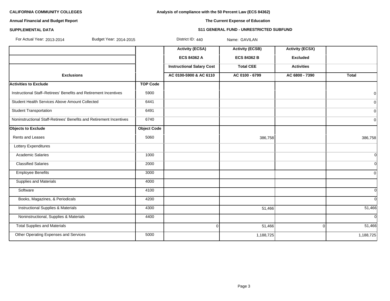**Analysis of compliance with the 50 Percent Law (ECS 84362)**

# **Annual Financial and Budget Report**

# **SUPPLEMENTAL DATA S11 GENERAL FUND - UNRESTRICTED SUBFUND**

**The Current Expense of Education**

For Actual Year: 2013-2014 Budget Year: 2014-2015 District ID: 440 Name: GAVILAN

|                                                                     |                    | <b>Activity (ECSA)</b><br>ECS 84362 A | <b>Activity (ECSB)</b><br><b>ECS 84362 B</b> | <b>Activity (ECSX)</b><br><b>Excluded</b> |                |
|---------------------------------------------------------------------|--------------------|---------------------------------------|----------------------------------------------|-------------------------------------------|----------------|
|                                                                     |                    | <b>Instructional Salary Cost</b>      | <b>Total CEE</b>                             | <b>Activities</b>                         |                |
| <b>Exclusions</b>                                                   |                    | AC 0100-5900 & AC 6110                | AC 0100 - 6799                               | AC 6800 - 7390                            | <b>Total</b>   |
| <b>Activities to Exclude</b>                                        | <b>TOP Code</b>    |                                       |                                              |                                           |                |
| Instructional Staff-Retirees' Benefits and Retirement Incentives    | 5900               |                                       |                                              |                                           | 0              |
| Student Health Services Above Amount Collected                      | 6441               |                                       |                                              |                                           | $\overline{0}$ |
| <b>Student Transportation</b>                                       | 6491               |                                       |                                              |                                           | $\overline{0}$ |
| Noninstructional Staff-Retirees' Benefits and Retirement Incentives | 6740               |                                       |                                              |                                           | 0              |
| <b>Objects to Exclude</b>                                           | <b>Object Code</b> |                                       |                                              |                                           |                |
| <b>Rents and Leases</b>                                             | 5060               |                                       | 386,758                                      |                                           | 386,758        |
| Lottery Expenditures                                                |                    |                                       |                                              |                                           |                |
| <b>Academic Salaries</b>                                            | 1000               |                                       |                                              |                                           | $\Omega$       |
| <b>Classified Salaries</b>                                          | 2000               |                                       |                                              |                                           | <sup>0</sup>   |
| <b>Employee Benefits</b>                                            | 3000               |                                       |                                              |                                           | $\mathbf 0$    |
| <b>Supplies and Materials</b>                                       | 4000               |                                       |                                              |                                           |                |
| Software                                                            | 4100               |                                       |                                              |                                           | <sup>0</sup>   |
| Books, Magazines, & Periodicals                                     | 4200               |                                       |                                              |                                           | $\Omega$       |
| <b>Instructional Supplies &amp; Materials</b>                       | 4300               |                                       | 51,466                                       |                                           | 51,466         |
| Noninstructional, Supplies & Materials                              | 4400               |                                       |                                              |                                           | $\Omega$       |
| <b>Total Supplies and Materials</b>                                 |                    | $\overline{0}$                        | 51,466                                       | $\Omega$                                  | 51,466         |
| Other Operating Expenses and Services                               | 5000               |                                       | 1,188,725                                    |                                           | 1,188,725      |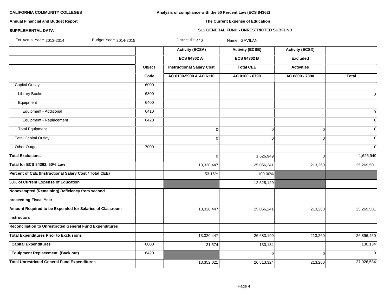# **Analysis of compliance with the 50 Percent Law (ECS 84362)**

# **Annual Financial and Budget Report**

# **The Current Expense of Education**

### **SUPPLEMENTAL DATA S11 GENERAL FUND - UNRESTRICTED SUBFUND**

| For Actual Year: 2013-2014<br>Budget Year: 2014-2015     |        | District ID: 440                 | Name: GAVILAN          |                        |                |
|----------------------------------------------------------|--------|----------------------------------|------------------------|------------------------|----------------|
|                                                          |        | <b>Activity (ECSA)</b>           | <b>Activity (ECSB)</b> | <b>Activity (ECSX)</b> |                |
|                                                          |        | <b>ECS 84362 A</b>               | <b>ECS 84362 B</b>     | <b>Excluded</b>        |                |
|                                                          | Object | <b>Instructional Salary Cost</b> | <b>Total CEE</b>       | <b>Activities</b>      |                |
|                                                          | Code   | AC 0100-5900 & AC 6110           | AC 0100 - 6799         | AC 6800 - 7390         | <b>Total</b>   |
| <b>Capital Outlay</b>                                    | 6000   |                                  |                        |                        |                |
| <b>Library Books</b>                                     | 6300   |                                  |                        |                        | $\overline{0}$ |
| Equipment                                                | 6400   |                                  |                        |                        |                |
| Equipment - Additional                                   | 6410   |                                  |                        |                        | 0              |
| Equipment - Replacement                                  | 6420   |                                  |                        |                        | $\overline{0}$ |
| <b>Total Equipment</b>                                   |        | 0                                | 0                      | $\Omega$               | $\overline{0}$ |
| <b>Total Capital Outlay</b>                              |        | $\overline{0}$                   | 0                      | $\Omega$               | $\overline{0}$ |
| Other Outgo                                              | 7000   |                                  |                        |                        | $\overline{0}$ |
| <b>Total Exclusions</b>                                  |        | 0                                | 1,626,949              | $\Omega$               | 1,626,949      |
| Total for ECS 84362, 50% Law                             |        | 13,320,447                       | 25,056,241             | 213,260                | 25,269,501     |
| Percent of CEE (Instructional Salary Cost / Total CEE)   |        | 53.16%                           | 100.00%                |                        |                |
| 50% of Current Expense of Education                      |        |                                  | 12,528,120             |                        |                |
| Nonexempted (Remaining) Deficiency from second           |        |                                  |                        |                        |                |
| preceeding Fiscal Year                                   |        |                                  |                        |                        |                |
| Amount Required to be Expended for Salaries of Classroom |        | 13,320,447                       | 25,056,241             | 213,260                | 25,269,501     |
| <b>Instructors</b>                                       |        |                                  |                        |                        |                |
| Reconciliation to Unrestricted General Fund Expenditures |        |                                  |                        |                        |                |
| <b>Total Expenditures Prior to Exclusions</b>            |        | 13,320,447                       | 26,683,190             | 213,260                | 26,896,450     |
| <b>Capital Expenditures</b>                              | 6000   | 31,574                           | 130,134                |                        | 130,134        |
| <b>Equipment Replacement (Back out)</b>                  | 6420   |                                  | 0                      | ∩                      | $\Omega$       |
| <b>Total Unrestricted General Fund Expenditures</b>      |        | 13,352,021                       | 26,813,324             | 213,260                | 27,026,584     |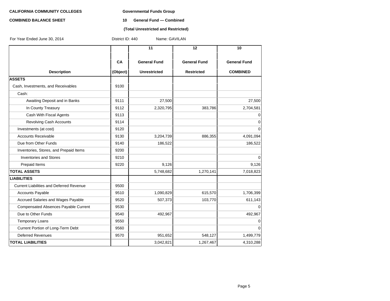#### **COMBINED BALANCE SHEET 10 General Fund — Combined**

### **(Total Unrestricted and Restricted)**

| For Year Ended June 30, 2014                    | Name: GAVILAN<br>District ID: 440 |                                            |                                          |                                        |  |  |  |
|-------------------------------------------------|-----------------------------------|--------------------------------------------|------------------------------------------|----------------------------------------|--|--|--|
|                                                 |                                   | 11                                         | 12                                       | 10                                     |  |  |  |
| <b>Description</b>                              | CA<br>(Object)                    | <b>General Fund</b><br><b>Unrestricted</b> | <b>General Fund</b><br><b>Restricted</b> | <b>General Fund</b><br><b>COMBINED</b> |  |  |  |
| <b>ASSETS</b>                                   |                                   |                                            |                                          |                                        |  |  |  |
| Cash, Investments, and Receivables              | 9100                              |                                            |                                          |                                        |  |  |  |
| Cash:                                           |                                   |                                            |                                          |                                        |  |  |  |
| Awaiting Deposit and in Banks                   | 9111                              | 27,500                                     |                                          | 27,500                                 |  |  |  |
| In County Treasury                              | 9112                              | 2,320,795                                  | 383,786                                  | 2,704,581                              |  |  |  |
| Cash With Fiscal Agents                         | 9113                              |                                            |                                          | $\mathbf 0$                            |  |  |  |
| <b>Revolving Cash Accounts</b>                  | 9114                              |                                            |                                          | $\mathbf 0$                            |  |  |  |
| Investments (at cost)                           | 9120                              |                                            |                                          | $\mathbf 0$                            |  |  |  |
| <b>Accounts Receivable</b>                      | 9130                              | 3,204,739                                  | 886,355                                  | 4,091,094                              |  |  |  |
| Due from Other Funds                            | 9140                              | 186,522                                    |                                          | 186,522                                |  |  |  |
| Inventories, Stores, and Prepaid Items          | 9200                              |                                            |                                          |                                        |  |  |  |
| <b>Inventories and Stores</b>                   | 9210                              |                                            |                                          | 0                                      |  |  |  |
| Prepaid Items                                   | 9220                              | 9,126                                      |                                          | 9,126                                  |  |  |  |
| <b>TOTAL ASSETS</b>                             |                                   | 5,748,682                                  | 1,270,141                                | 7,018,823                              |  |  |  |
| <b>LIABILITIES</b>                              |                                   |                                            |                                          |                                        |  |  |  |
| <b>Current Liabilities and Deferred Revenue</b> | 9500                              |                                            |                                          |                                        |  |  |  |
| Accounts Payable                                | 9510                              | 1,090,829                                  | 615,570                                  | 1,706,399                              |  |  |  |
| Accrued Salaries and Wages Payable              | 9520                              | 507,373                                    | 103,770                                  | 611,143                                |  |  |  |
| Compensated Absences Payable Current            | 9530                              |                                            |                                          | $\Omega$                               |  |  |  |
| Due to Other Funds                              | 9540                              | 492,967                                    |                                          | 492,967                                |  |  |  |
| <b>Temporary Loans</b>                          | 9550                              |                                            |                                          | $\mathbf 0$                            |  |  |  |
| Current Portion of Long-Term Debt               | 9560                              |                                            |                                          | 0                                      |  |  |  |
| <b>Deferred Revenues</b>                        | 9570                              | 951,652                                    | 548,127                                  | 1,499,779                              |  |  |  |
| <b>TOTAL LIABILITIES</b>                        |                                   | 3,042,821                                  | 1,267,467                                | 4,310,288                              |  |  |  |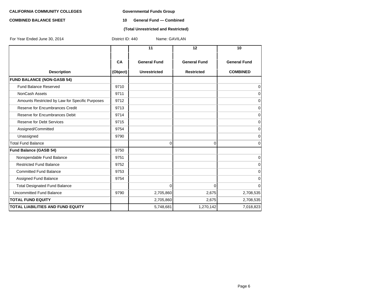#### **COMBINED BALANCE SHEET 10 General Fund — Combined**

#### **(Total Unrestricted and Restricted)**

| For Year Ended June 30, 2014                    | District ID: 440<br>Name: GAVILAN |                     |                     |                     |  |  |
|-------------------------------------------------|-----------------------------------|---------------------|---------------------|---------------------|--|--|
|                                                 |                                   | 11                  | 12                  | 10                  |  |  |
|                                                 | CA                                | <b>General Fund</b> | <b>General Fund</b> | <b>General Fund</b> |  |  |
| <b>Description</b>                              | (Object)                          | <b>Unrestricted</b> | <b>Restricted</b>   | <b>COMBINED</b>     |  |  |
| <b>FUND BALANCE (NON-GASB 54)</b>               |                                   |                     |                     |                     |  |  |
| Fund Balance Reserved                           | 9710                              |                     |                     | 0                   |  |  |
| NonCash Assets                                  | 9711                              |                     |                     | 0                   |  |  |
| Amounts Restricted by Law for Specific Purposes | 9712                              |                     |                     | 0                   |  |  |
| Reserve for Encumbrances Credit                 | 9713                              |                     |                     | 0                   |  |  |
| Reserve for Encumbrances Debit                  | 9714                              |                     |                     | $\mathbf 0$         |  |  |
| Reserve for Debt Services                       | 9715                              |                     |                     | 0                   |  |  |
| Assigned/Committed                              | 9754                              |                     |                     | 0                   |  |  |
| Unassigned                                      | 9790                              |                     |                     | $\mathbf 0$         |  |  |
| <b>Total Fund Balance</b>                       |                                   | 0                   | $\overline{0}$      | 0                   |  |  |
| <b>Fund Balance (GASB 54)</b>                   | 9750                              |                     |                     |                     |  |  |
| Nonspendable Fund Balance                       | 9751                              |                     |                     | 0                   |  |  |
| <b>Restricted Fund Balance</b>                  | 9752                              |                     |                     | 0                   |  |  |
| <b>Committed Fund Balance</b>                   | 9753                              |                     |                     | 0                   |  |  |
| Assigned Fund Balance                           | 9754                              |                     |                     | 0                   |  |  |
| <b>Total Designated Fund Balance</b>            |                                   | 0                   | $\overline{0}$      | 0                   |  |  |
| Uncommitted Fund Balance                        | 9790                              | 2,705,860           | 2,675               | 2,708,535           |  |  |
| <b>TOTAL FUND EQUITY</b>                        |                                   | 2,705,860           | 2,675               | 2,708,535           |  |  |
| <b>TOTAL LIABILITIES AND FUND EQUITY</b>        |                                   | 5,748,681           | 1,270,142           | 7,018,823           |  |  |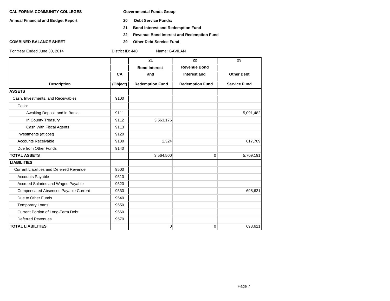**Annual Financial and Budget Report 20 Debt Service Funds:**

- 
- **21 Bond Interest and Redemption Fund**
- **22 Revenue Bond Interest and Redemption Fund**
- **COMBINED BALANCE SHEET 29 Other Debt Service Fund**

|                                                 |           | 21                     | 22                     | 29                  |
|-------------------------------------------------|-----------|------------------------|------------------------|---------------------|
|                                                 |           | <b>Bond Interest</b>   | <b>Revenue Bond</b>    |                     |
|                                                 | <b>CA</b> | and                    | Interest and           | <b>Other Debt</b>   |
| <b>Description</b>                              | (Object)  | <b>Redemption Fund</b> | <b>Redemption Fund</b> | <b>Service Fund</b> |
| <b>ASSETS</b>                                   |           |                        |                        |                     |
| Cash, Investments, and Receivables              | 9100      |                        |                        |                     |
| Cash:                                           |           |                        |                        |                     |
| Awaiting Deposit and in Banks                   | 9111      |                        |                        | 5,091,482           |
| In County Treasury                              | 9112      | 3,563,176              |                        |                     |
| Cash With Fiscal Agents                         | 9113      |                        |                        |                     |
| Investments (at cost)                           | 9120      |                        |                        |                     |
| <b>Accounts Receivable</b>                      | 9130      | 1,324                  |                        | 617,709             |
| Due from Other Funds                            | 9140      |                        |                        |                     |
| <b>TOTAL ASSETS</b>                             |           | 3,564,500              | 0                      | 5,709,191           |
| <b>LIABILITIES</b>                              |           |                        |                        |                     |
| <b>Current Liabilities and Deferred Revenue</b> | 9500      |                        |                        |                     |
| <b>Accounts Payable</b>                         | 9510      |                        |                        |                     |
| Accrued Salaries and Wages Payable              | 9520      |                        |                        |                     |
| Compensated Absences Payable Current            | 9530      |                        |                        | 698,621             |
| Due to Other Funds                              | 9540      |                        |                        |                     |
| <b>Temporary Loans</b>                          | 9550      |                        |                        |                     |
| Current Portion of Long-Term Debt               | 9560      |                        |                        |                     |
| <b>Deferred Revenues</b>                        | 9570      |                        |                        |                     |
| <b>TOTAL LIABILITIES</b>                        |           | 0                      | 0                      | 698,621             |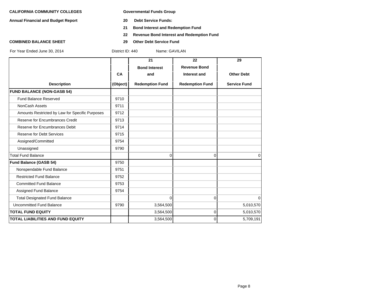**Annual Financial and Budget Report 20 Debt Service Funds:**

- 
- **21 Bond Interest and Redemption Fund**
- **22 Revenue Bond Interest and Redemption Fund**
- **COMBINED BALANCE SHEET 29 Other Debt Service Fund**

|                                                 |          | 21                     | 22                     | 29                  |
|-------------------------------------------------|----------|------------------------|------------------------|---------------------|
|                                                 |          | <b>Bond Interest</b>   | <b>Revenue Bond</b>    |                     |
|                                                 | CA       | and                    | Interest and           | <b>Other Debt</b>   |
| <b>Description</b>                              | (Object) | <b>Redemption Fund</b> | <b>Redemption Fund</b> | <b>Service Fund</b> |
| <b>FUND BALANCE (NON-GASB 54)</b>               |          |                        |                        |                     |
| <b>Fund Balance Reserved</b>                    | 9710     |                        |                        |                     |
| <b>NonCash Assets</b>                           | 9711     |                        |                        |                     |
| Amounts Restricted by Law for Specific Purposes | 9712     |                        |                        |                     |
| Reserve for Encumbrances Credit                 | 9713     |                        |                        |                     |
| Reserve for Encumbrances Debit                  | 9714     |                        |                        |                     |
| <b>Reserve for Debt Services</b>                | 9715     |                        |                        |                     |
| Assigned/Committed                              | 9754     |                        |                        |                     |
| Unassigned                                      | 9790     |                        |                        |                     |
| <b>Total Fund Balance</b>                       |          | $\Omega$               | $\mathbf{0}$           | $\Omega$            |
| <b>Fund Balance (GASB 54)</b>                   | 9750     |                        |                        |                     |
| Nonspendable Fund Balance                       | 9751     |                        |                        |                     |
| <b>Restricted Fund Balance</b>                  | 9752     |                        |                        |                     |
| <b>Committed Fund Balance</b>                   | 9753     |                        |                        |                     |
| Assigned Fund Balance                           | 9754     |                        |                        |                     |
| <b>Total Designated Fund Balance</b>            |          | $\Omega$               | $\Omega$               | $\Omega$            |
| <b>Uncommitted Fund Balance</b>                 | 9790     | 3,564,500              |                        | 5,010,570           |
| <b>TOTAL FUND EQUITY</b>                        |          | 3,564,500              | $\mathbf 0$            | 5,010,570           |
| <b>TOTAL LIABILITIES AND FUND EQUITY</b>        |          | 3,564,500              | 0                      | 5,709,191           |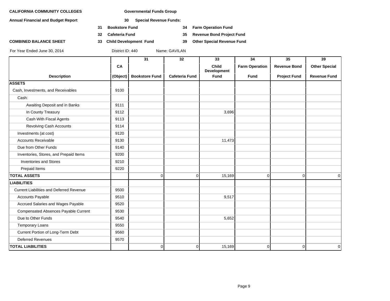**Annual Financial and Budget Report 30 Special Revenue Funds:**

- **31 Bookstore Fund 34 Farm Operation Fund**
- 
- 

**32 Cafeteria Fund 35 Revenue Bond Project Fund**

**COMBINED BALANCE SHEET 33 Child Development Fund 39 Other Special Revenue Fund**

|                                                 |          | 31                    | 32                    | 33                          | 34                    | 35                  | 39                   |
|-------------------------------------------------|----------|-----------------------|-----------------------|-----------------------------|-----------------------|---------------------|----------------------|
|                                                 | CA       |                       |                       | <b>Child</b><br>Development | <b>Farm Operation</b> | <b>Revenue Bond</b> | <b>Other Special</b> |
| <b>Description</b>                              | (Object) | <b>Bookstore Fund</b> | <b>Cafeteria Fund</b> | Fund                        | <b>Fund</b>           | <b>Project Fund</b> | <b>Revenue Fund</b>  |
| <b>ASSETS</b>                                   |          |                       |                       |                             |                       |                     |                      |
| Cash, Investments, and Receivables              | 9100     |                       |                       |                             |                       |                     |                      |
| Cash:                                           |          |                       |                       |                             |                       |                     |                      |
| Awaiting Deposit and in Banks                   | 9111     |                       |                       |                             |                       |                     |                      |
| In County Treasury                              | 9112     |                       |                       | 3,696                       |                       |                     |                      |
| Cash With Fiscal Agents                         | 9113     |                       |                       |                             |                       |                     |                      |
| Revolving Cash Accounts                         | 9114     |                       |                       |                             |                       |                     |                      |
| Investments (at cost)                           | 9120     |                       |                       |                             |                       |                     |                      |
| <b>Accounts Receivable</b>                      | 9130     |                       |                       | 11,473                      |                       |                     |                      |
| Due from Other Funds                            | 9140     |                       |                       |                             |                       |                     |                      |
| Inventories, Stores, and Prepaid Items          | 9200     |                       |                       |                             |                       |                     |                      |
| <b>Inventories and Stores</b>                   | 9210     |                       |                       |                             |                       |                     |                      |
| Prepaid Items                                   | 9220     |                       |                       |                             |                       |                     |                      |
| <b>TOTAL ASSETS</b>                             |          | $\overline{0}$        | $\mathbf 0$           | 15,169                      | $\overline{0}$        | $\overline{0}$      | $\mathbf 0$          |
| <b>LIABILITIES</b>                              |          |                       |                       |                             |                       |                     |                      |
| <b>Current Liabilities and Deferred Revenue</b> | 9500     |                       |                       |                             |                       |                     |                      |
| Accounts Payable                                | 9510     |                       |                       | 9,517                       |                       |                     |                      |
| Accrued Salaries and Wages Payable              | 9520     |                       |                       |                             |                       |                     |                      |
| Compensated Absences Payable Current            | 9530     |                       |                       |                             |                       |                     |                      |
| Due to Other Funds                              | 9540     |                       |                       | 5,652                       |                       |                     |                      |
| <b>Temporary Loans</b>                          | 9550     |                       |                       |                             |                       |                     |                      |
| Current Portion of Long-Term Debt               | 9560     |                       |                       |                             |                       |                     |                      |
| <b>Deferred Revenues</b>                        | 9570     |                       |                       |                             |                       |                     |                      |
| <b>TOTAL LIABILITIES</b>                        |          | $\overline{0}$        | $\mathbf 0$           | 15,169                      | $\overline{0}$        | $\overline{0}$      | $\mathbf 0$          |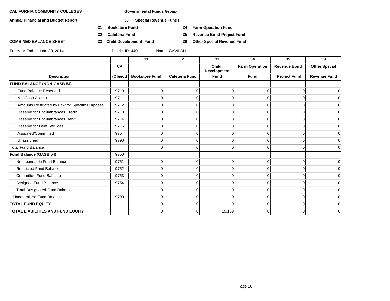**Annual Financial and Budget Report 30 Special Revenue Funds:**

- **31 Bookstore Fund 34 Farm Operation Fund**
- 
- 

**32 Cafeteria Fund 35 Revenue Bond Project Fund**

**COMBINED BALANCE SHEET 33 Child Development Fund 39 Other Special Revenue Fund**

|                                                 |          | 31                    | 32                    | 33                          | 34                    | 35                  | 39                   |
|-------------------------------------------------|----------|-----------------------|-----------------------|-----------------------------|-----------------------|---------------------|----------------------|
|                                                 | CA       |                       |                       | Child<br><b>Development</b> | <b>Farm Operation</b> | <b>Revenue Bond</b> | <b>Other Special</b> |
| <b>Description</b>                              | (Object) | <b>Bookstore Fund</b> | <b>Cafeteria Fund</b> | <b>Fund</b>                 | <b>Fund</b>           | <b>Project Fund</b> | <b>Revenue Fund</b>  |
| <b>FUND BALANCE (NON-GASB 54)</b>               |          |                       |                       |                             |                       |                     |                      |
| <b>Fund Balance Reserved</b>                    | 9710     |                       | 0                     | U                           |                       | $\Omega$            | $\overline{0}$       |
| NonCash Assets                                  | 9711     |                       |                       |                             |                       |                     | $\overline{0}$       |
| Amounts Restricted by Law for Specific Purposes | 9712     |                       | 0                     | ∩                           |                       | $\Omega$            | $\overline{0}$       |
| Reserve for Encumbrances Credit                 | 9713     |                       | 0                     | O                           |                       | $\Omega$            | $\overline{0}$       |
| Reserve for Encumbrances Debit                  | 9714     |                       | 0                     | ∩                           |                       | $\Omega$            | $\overline{0}$       |
| <b>Reserve for Debt Services</b>                | 9715     |                       | 0                     | $\Omega$                    | $\Omega$              | $\Omega$            | $\overline{0}$       |
| Assigned/Committed                              | 9754     |                       | 0                     | $\Omega$                    | <sup>n</sup>          | $\Omega$            | $\overline{0}$       |
| Unassigned                                      | 9790     |                       | 0                     | U                           |                       | <sup>n</sup>        | $\overline{0}$       |
| <b>Total Fund Balance</b>                       |          | n                     | $\Omega$              | $\Omega$                    | $\Omega$              | $\Omega$            | $\overline{0}$       |
| Fund Balance (GASB 54)                          | 9750     |                       |                       |                             |                       |                     |                      |
| Nonspendable Fund Balance                       | 9751     |                       | 0                     | U                           |                       | $\Omega$            | $\vert 0 \vert$      |
| <b>Restricted Fund Balance</b>                  | 9752     |                       | 0                     | ∩                           |                       | $\Omega$            | $\Omega$             |
| <b>Committed Fund Balance</b>                   | 9753     |                       | 0                     | ∩                           |                       | $\Omega$            | $\overline{0}$       |
| Assigned Fund Balance                           | 9754     |                       | 0                     |                             |                       | $\Omega$            | $\overline{0}$       |
| <b>Total Designated Fund Balance</b>            |          |                       | 0                     |                             |                       | $\Omega$            | $\Omega$             |
| <b>Uncommitted Fund Balance</b>                 | 9790     |                       | 0                     | U                           |                       | $\Omega$            | $\overline{0}$       |
| <b>TOTAL FUND EQUITY</b>                        |          |                       | 0                     | U                           |                       | $\Omega$            | $\overline{0}$       |
| TOTAL LIABILITIES AND FUND EQUITY               |          | O                     | 0                     | 15,169                      | $\Omega$              | $\Omega$            | $\overline{0}$       |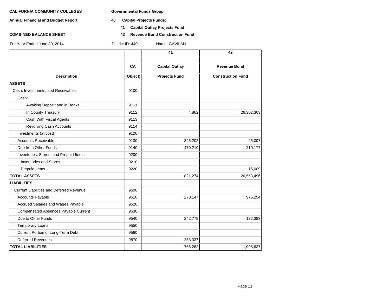- **Annual Financial and Budget Report 40 Capital Projects Funds:**
- 

- **41 Capital Outlay Projects Fund**
- **COMBINED BALANCE SHEET 42 Revenue Bond Construction Fund**

|                                                 |          | 41                    | 42                       |
|-------------------------------------------------|----------|-----------------------|--------------------------|
|                                                 |          |                       |                          |
|                                                 | CA       | <b>Capital Outlay</b> | <b>Revenue Bond</b>      |
| <b>Description</b>                              | (Object) | <b>Projects Fund</b>  | <b>Construction Fund</b> |
| <b>ASSETS</b>                                   |          |                       |                          |
| Cash, Investments, and Receivables              | 9100     |                       |                          |
| Cash:                                           |          |                       |                          |
| Awaiting Deposit and in Banks                   | 9111     |                       |                          |
| In County Treasury                              | 9112     | 4,862                 | 26,302,303               |
| Cash With Fiscal Agents                         | 9113     |                       |                          |
| <b>Revolving Cash Accounts</b>                  | 9114     |                       |                          |
| Investments (at cost)                           | 9120     |                       |                          |
| <b>Accounts Receivable</b>                      | 9130     | 346,202               | 26,007                   |
| Due from Other Funds                            | 9140     | 470,210               | 210,177                  |
| Inventories, Stores, and Prepaid Items          | 9200     |                       |                          |
| <b>Inventories and Stores</b>                   | 9210     |                       |                          |
| Prepaid Items                                   | 9220     |                       | 15,009                   |
| <b>TOTAL ASSETS</b>                             |          | 821,274               | 26,553,496               |
| <b>LIABILITIES</b>                              |          |                       |                          |
| <b>Current Liabilities and Deferred Revenue</b> | 9500     |                       |                          |
| Accounts Payable                                | 9510     | 270,147               | 976,254                  |
| Accrued Salaries and Wages Payable              | 9520     |                       |                          |
| Compensated Absences Payable Current            | 9530     |                       |                          |
| Due to Other Funds                              | 9540     | 242,778               | 122,383                  |
| <b>Temporary Loans</b>                          | 9550     |                       |                          |
| Current Portion of Long-Term Debt               | 9560     |                       |                          |
| <b>Deferred Revenues</b>                        | 9570     | 253,337               |                          |
| <b>TOTAL LIABILITIES</b>                        |          | 766,262               | 1,098,637                |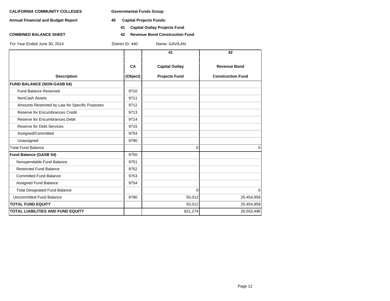**Annual Financial and Budget Report 40 Capital Projects Funds:**

- - **41 Capital Outlay Projects Fund**
- **COMBINED BALANCE SHEET 42 Revenue Bond Construction Fund**

|  |  | For Year Ended June 30, 2014 |
|--|--|------------------------------|

**41 42** CA | Capital Outlay | Revenue Bond **Description (Object) Projects Fund Construction Fund FUND BALANCE (NON-GASB 54)** Fund Balance Reserved 9710 NonCash Assets 2711 Amounts Restricted by Law for Specific Purposes 9712 Reserve for Encumbrances Credit 19713 Reserve for Encumbrances Debit 19714 Reserve for Debt Services **19715** Assigned/Committed 9754 Unassigned 9790 Total Fund Balance 0 0 **Fund Balance (GASB 54)** 9750 Nonspendable Fund Balance 9751 Restricted Fund Balance 9752 Committed Fund Balance 9753 Assigned Fund Balance 9754 Total Designated Fund Balance 0 0 Uncommitted Fund Balance 25,454,859 19790 19790 55,012 25,454,859 **TOTAL FUND EQUITY** 55,012 25,454,859 **TOTAL LIABILITIES AND FUND EQUITY** 821,274 26,553,496 reduction of District ID: 440 Name: GAVILAN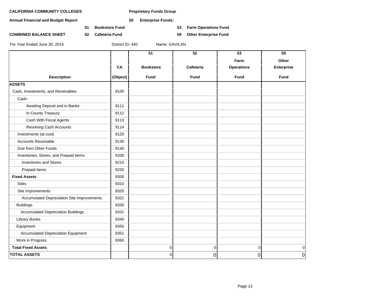**Annual Financial and Budget Report 50 Enterprise Funds:**

**51 Bookstore Fund 53 Farm Operations Fund**

**COMBINED BALANCE SHEET 52 Cafeteria Fund 59 Other Enterprise Fund**

|                                            |          | $\overline{51}$  | $\overline{52}$ | $\overline{53}$<br>Farm | 59<br>Other       |
|--------------------------------------------|----------|------------------|-----------------|-------------------------|-------------------|
|                                            | CA       | <b>Bookstore</b> | Cafeteria       | <b>Operations</b>       | <b>Enterprise</b> |
| <b>Description</b>                         | (Object) | Fund             | <b>Fund</b>     | <b>Fund</b>             | Fund              |
| <b>ASSETS</b>                              |          |                  |                 |                         |                   |
| Cash, Investments, and Receivables         | 9100     |                  |                 |                         |                   |
| Cash:                                      |          |                  |                 |                         |                   |
| Awaiting Deposit and in Banks              | 9111     |                  |                 |                         |                   |
| In County Treasury                         | 9112     |                  |                 |                         |                   |
| Cash With Fiscal Agents                    | 9113     |                  |                 |                         |                   |
| <b>Revolving Cash Accounts</b>             | 9114     |                  |                 |                         |                   |
| Investments (at cost)                      | 9120     |                  |                 |                         |                   |
| <b>Accounts Receivable</b>                 | 9130     |                  |                 |                         |                   |
| Due from Other Funds                       | 9140     |                  |                 |                         |                   |
| Inventories, Stores, and Prepaid Items     | 9200     |                  |                 |                         |                   |
| <b>Inventories and Stores</b>              | 9210     |                  |                 |                         |                   |
| Prepaid Items                              | 9220     |                  |                 |                         |                   |
| <b>Fixed Assets</b>                        | 9300     |                  |                 |                         |                   |
| <b>Sites</b>                               | 9310     |                  |                 |                         |                   |
| Site Improvements                          | 9320     |                  |                 |                         |                   |
| Accumulated Depreciation Site Improvements | 9321     |                  |                 |                         |                   |
| <b>Buildings</b>                           | 9330     |                  |                 |                         |                   |
| <b>Accumulated Depreciation Buildings</b>  | 9331     |                  |                 |                         |                   |
| <b>Library Books</b>                       | 9340     |                  |                 |                         |                   |
| Equipment                                  | 9350     |                  |                 |                         |                   |
| <b>Accumulated Depreciation Equipment</b>  | 9351     |                  |                 |                         |                   |
| Work in Progress                           | 9360     |                  |                 |                         |                   |
| <b>Total Fixed Assets</b>                  |          | 0                | 0               | $\mathbf 0$             | 0                 |
| <b>TOTAL ASSETS</b>                        |          | $\overline{0}$   | $\overline{0}$  | $\overline{0}$          | $\Omega$          |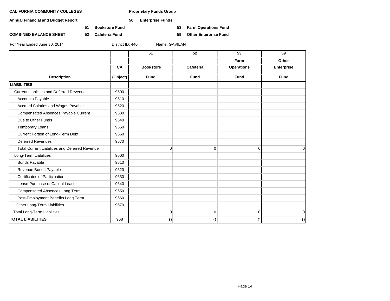**Annual Financial and Budget Report 50 Enterprise Funds:**

**51 Bookstore Fund 53 Farm Operations Fund**

**COMBINED BALANCE SHEET 52 Cafeteria Fund 59 Other Enterprise Fund**

|                                                       |          | 51               | 52          | 53                | 59                |
|-------------------------------------------------------|----------|------------------|-------------|-------------------|-------------------|
|                                                       |          |                  |             | Farm              | Other             |
|                                                       | CA       | <b>Bookstore</b> | Cafeteria   | <b>Operations</b> | <b>Enterprise</b> |
| <b>Description</b>                                    | (Object) | <b>Fund</b>      | <b>Fund</b> | <b>Fund</b>       | <b>Fund</b>       |
| <b>LIABILITIES</b>                                    |          |                  |             |                   |                   |
| <b>Current Liabilities and Deferred Revenue</b>       | 9500     |                  |             |                   |                   |
| <b>Accounts Payable</b>                               | 9510     |                  |             |                   |                   |
| Accrued Salaries and Wages Payable                    | 9520     |                  |             |                   |                   |
| Compensated Absences Payable Current                  | 9530     |                  |             |                   |                   |
| Due to Other Funds                                    | 9540     |                  |             |                   |                   |
| <b>Temporary Loans</b>                                | 9550     |                  |             |                   |                   |
| Current Portion of Long-Term Debt                     | 9560     |                  |             |                   |                   |
| <b>Deferred Revenues</b>                              | 9570     |                  |             |                   |                   |
| <b>Total Current Liabilities and Deferred Revenue</b> |          | 0                | $\Omega$    | 0                 | $\mathbf 0$       |
| Long-Term Liabilities                                 | 9600     |                  |             |                   |                   |
| <b>Bonds Payable</b>                                  | 9610     |                  |             |                   |                   |
| Revenue Bonds Payable                                 | 9620     |                  |             |                   |                   |
| Certificates of Participation                         | 9630     |                  |             |                   |                   |
| Lease Purchase of Capital Lease                       | 9640     |                  |             |                   |                   |
| Compensated Absences Long Term                        | 9650     |                  |             |                   |                   |
| Post-Employment Benefits Long Term                    | 9660     |                  |             |                   |                   |
| Other Long-Term Liabilities                           | 9670     |                  |             |                   |                   |
| <b>Total Long-Term Liabilities</b>                    |          | $\mathbf 0$      | 0           | 0                 | $\mathbf 0$       |
| <b>TOTAL LIABILITIES</b>                              | 968      | 0                | $\Omega$    | 0                 | 0                 |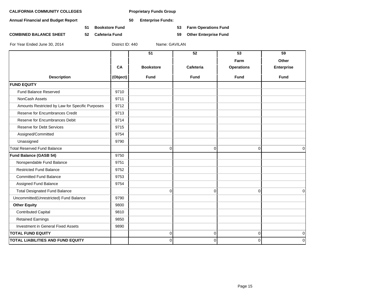**Annual Financial and Budget Report 50 Enterprise Funds:**

**51 Bookstore Fund 53 Farm Operations Fund**

**COMBINED BALANCE SHEET 52 Cafeteria Fund 59 Other Enterprise Fund**

|                                                 |          | 51               | 52          | 53                | 59                |
|-------------------------------------------------|----------|------------------|-------------|-------------------|-------------------|
|                                                 |          |                  |             | Farm              | Other             |
|                                                 | CA       | <b>Bookstore</b> | Cafeteria   | <b>Operations</b> | <b>Enterprise</b> |
| <b>Description</b>                              | (Object) | <b>Fund</b>      | <b>Fund</b> | <b>Fund</b>       | <b>Fund</b>       |
| <b>FUND EQUITY</b>                              |          |                  |             |                   |                   |
| <b>Fund Balance Reserved</b>                    | 9710     |                  |             |                   |                   |
| <b>NonCash Assets</b>                           | 9711     |                  |             |                   |                   |
| Amounts Restricted by Law for Specific Purposes | 9712     |                  |             |                   |                   |
| Reserve for Encumbrances Credit                 | 9713     |                  |             |                   |                   |
| Reserve for Encumbrances Debit                  | 9714     |                  |             |                   |                   |
| <b>Reserve for Debt Services</b>                | 9715     |                  |             |                   |                   |
| Assigned/Committed                              | 9754     |                  |             |                   |                   |
| Unassigned                                      | 9790     |                  |             |                   |                   |
| <b>Total Reserved Fund Balance</b>              |          | $\mathbf 0$      | 0           | $\mathbf 0$       | $\Omega$          |
| Fund Balance (GASB 54)                          | 9750     |                  |             |                   |                   |
| Nonspendable Fund Balance                       | 9751     |                  |             |                   |                   |
| <b>Restricted Fund Balance</b>                  | 9752     |                  |             |                   |                   |
| <b>Committed Fund Balance</b>                   | 9753     |                  |             |                   |                   |
| Assigned Fund Balance                           | 9754     |                  |             |                   |                   |
| <b>Total Designated Fund Balance</b>            |          | $\mathbf 0$      | $\Omega$    | $\Omega$          | $\Omega$          |
| Uncommitted(Unrestricted) Fund Balance          | 9790     |                  |             |                   |                   |
| <b>Other Equity</b>                             | 9800     |                  |             |                   |                   |
| <b>Contributed Capital</b>                      | 9810     |                  |             |                   |                   |
| <b>Retained Earnings</b>                        | 9850     |                  |             |                   |                   |
| Investment in General Fixed Assets              | 9890     |                  |             |                   |                   |
| <b>TOTAL FUND EQUITY</b>                        |          | 0                | 0           | 0                 | 0                 |
| TOTAL LIABILITIES AND FUND EQUITY               |          | $\mathbf 0$      | 0           | 0                 | $\mathbf 0$       |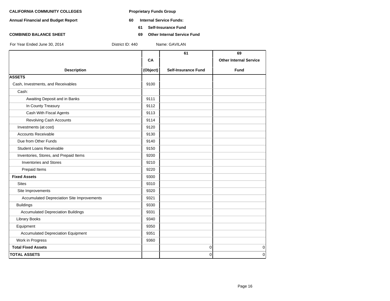- **Annual Financial and Budget Report 60 Internal Service Funds:**
	- **61 Self-Insurance Fund**
- **COMBINED BALANCE SHEET 69 Other Internal Service Fund**

|                                            |          | 61                         | 69                            |
|--------------------------------------------|----------|----------------------------|-------------------------------|
|                                            | CA       |                            | <b>Other Internal Service</b> |
|                                            |          |                            |                               |
| <b>Description</b>                         | (Object) | <b>Self-Insurance Fund</b> | <b>Fund</b>                   |
| <b>ASSETS</b>                              |          |                            |                               |
| Cash, Investments, and Receivables         | 9100     |                            |                               |
| Cash:                                      |          |                            |                               |
| Awaiting Deposit and in Banks              | 9111     |                            |                               |
| In County Treasury                         | 9112     |                            |                               |
| Cash With Fiscal Agents                    | 9113     |                            |                               |
| Revolving Cash Accounts                    | 9114     |                            |                               |
| Investments (at cost)                      | 9120     |                            |                               |
| <b>Accounts Receivable</b>                 | 9130     |                            |                               |
| Due from Other Funds                       | 9140     |                            |                               |
| <b>Student Loans Receivable</b>            | 9150     |                            |                               |
| Inventories, Stores, and Prepaid Items     | 9200     |                            |                               |
| <b>Inventories and Stores</b>              | 9210     |                            |                               |
| Prepaid Items                              | 9220     |                            |                               |
| <b>Fixed Assets</b>                        | 9300     |                            |                               |
| <b>Sites</b>                               | 9310     |                            |                               |
| Site Improvements                          | 9320     |                            |                               |
| Accumulated Depreciation Site Improvements | 9321     |                            |                               |
| <b>Buildings</b>                           | 9330     |                            |                               |
| <b>Accumulated Depreciation Buildings</b>  | 9331     |                            |                               |
| <b>Library Books</b>                       | 9340     |                            |                               |
| Equipment                                  | 9350     |                            |                               |
| <b>Accumulated Depreciation Equipment</b>  | 9351     |                            |                               |
| Work in Progress                           | 9360     |                            |                               |
| <b>Total Fixed Assets</b>                  |          | $\pmb{0}$                  | $\mathbf 0$                   |
| <b>TOTAL ASSETS</b>                        |          | 0                          | $\Omega$                      |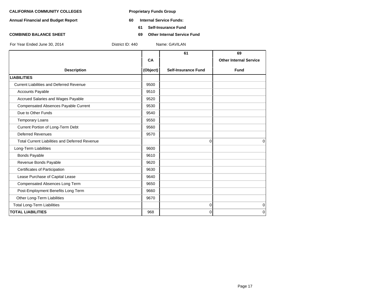- **Annual Financial and Budget Report 60 Internal Service Funds:**
	- **61 Self-Insurance Fund**
- **COMBINED BALANCE SHEET 69 Other Internal Service Fund**

|                                                       |          | 61                         | 69                            |
|-------------------------------------------------------|----------|----------------------------|-------------------------------|
|                                                       | CA       |                            | <b>Other Internal Service</b> |
| <b>Description</b>                                    | (Object) | <b>Self-Insurance Fund</b> | <b>Fund</b>                   |
| <b>LIABILITIES</b>                                    |          |                            |                               |
| <b>Current Liabilities and Deferred Revenue</b>       | 9500     |                            |                               |
| <b>Accounts Payable</b>                               | 9510     |                            |                               |
| Accrued Salaries and Wages Payable                    | 9520     |                            |                               |
| <b>Compensated Absences Payable Current</b>           | 9530     |                            |                               |
| Due to Other Funds                                    | 9540     |                            |                               |
| <b>Temporary Loans</b>                                | 9550     |                            |                               |
| Current Portion of Long-Term Debt                     | 9560     |                            |                               |
| <b>Deferred Revenues</b>                              | 9570     |                            |                               |
| <b>Total Current Liabilities and Deferred Revenue</b> |          | $\Omega$                   | $\Omega$                      |
| Long-Term Liabilities                                 | 9600     |                            |                               |
| <b>Bonds Payable</b>                                  | 9610     |                            |                               |
| Revenue Bonds Payable                                 | 9620     |                            |                               |
| Certificates of Participation                         | 9630     |                            |                               |
| Lease Purchase of Capital Lease                       | 9640     |                            |                               |
| Compensated Absences Long Term                        | 9650     |                            |                               |
| Post-Employment Benefits Long Term                    | 9660     |                            |                               |
| Other Long-Term Liabilities                           | 9670     |                            |                               |
| <b>Total Long-Term Liabilities</b>                    |          | 0                          | $\mathbf 0$                   |
| <b>TOTAL LIABILITIES</b>                              | 968      | 0                          | $\Omega$                      |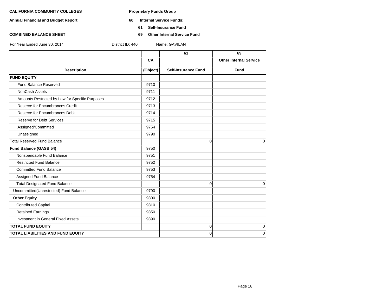- **Annual Financial and Budget Report 60 Internal Service Funds:**
	- **61 Self-Insurance Fund**
- **COMBINED BALANCE SHEET 69 Other Internal Service Fund**

|          | 61                         | 69                            |
|----------|----------------------------|-------------------------------|
| CA       |                            | <b>Other Internal Service</b> |
| (Object) | <b>Self-Insurance Fund</b> | <b>Fund</b>                   |
|          |                            |                               |
| 9710     |                            |                               |
| 9711     |                            |                               |
| 9712     |                            |                               |
| 9713     |                            |                               |
| 9714     |                            |                               |
| 9715     |                            |                               |
| 9754     |                            |                               |
| 9790     |                            |                               |
|          | $\Omega$                   | $\Omega$                      |
| 9750     |                            |                               |
| 9751     |                            |                               |
| 9752     |                            |                               |
| 9753     |                            |                               |
| 9754     |                            |                               |
|          | $\mathbf 0$                | $\mathbf 0$                   |
| 9790     |                            |                               |
| 9800     |                            |                               |
| 9810     |                            |                               |
| 9850     |                            |                               |
| 9890     |                            |                               |
|          | $\mathbf 0$                | 0                             |
|          | 0                          | $\Omega$                      |
|          |                            |                               |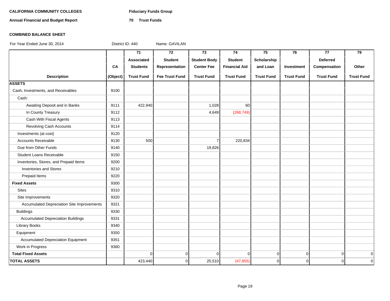# CALIFORNIA COMMUNITY COLLEGES Fiduciary Funds Group

**Annual Financial and Budget Report 70 Trust Funds**

### **COMBINED BALANCE SHEET**

|                                            |          | 71                | $\overline{72}$       | $\overline{73}$     | 74                   | $\overline{75}$   | 76                | 77                | $\overline{79}$   |
|--------------------------------------------|----------|-------------------|-----------------------|---------------------|----------------------|-------------------|-------------------|-------------------|-------------------|
|                                            |          | Associated        | <b>Student</b>        | <b>Student Body</b> | <b>Student</b>       | Scholarship       |                   | <b>Deferred</b>   |                   |
|                                            | CA       | <b>Students</b>   | Representation        | <b>Center Fee</b>   | <b>Financial Aid</b> | and Loan          | Investment        | Compensation      | Other             |
| <b>Description</b>                         | (Object) | <b>Trust Fund</b> | <b>Fee Trust Fund</b> | <b>Trust Fund</b>   | <b>Trust Fund</b>    | <b>Trust Fund</b> | <b>Trust Fund</b> | <b>Trust Fund</b> | <b>Trust Fund</b> |
| <b>ASSETS</b>                              |          |                   |                       |                     |                      |                   |                   |                   |                   |
| Cash, Investments, and Receivables         | 9100     |                   |                       |                     |                      |                   |                   |                   |                   |
| Cash:                                      |          |                   |                       |                     |                      |                   |                   |                   |                   |
| Awaiting Deposit and in Banks              | 9111     | 422,940           |                       | 1,028               | 60                   |                   |                   |                   |                   |
| In County Treasury                         | 9112     |                   |                       | 4,649               | (268, 749)           |                   |                   |                   |                   |
| Cash With Fiscal Agents                    | 9113     |                   |                       |                     |                      |                   |                   |                   |                   |
| <b>Revolving Cash Accounts</b>             | 9114     |                   |                       |                     |                      |                   |                   |                   |                   |
| Investments (at cost)                      | 9120     |                   |                       |                     |                      |                   |                   |                   |                   |
| <b>Accounts Receivable</b>                 | 9130     | 500               |                       | $\overline{7}$      | 220,834              |                   |                   |                   |                   |
| Due from Other Funds                       | 9140     |                   |                       | 19,826              |                      |                   |                   |                   |                   |
| <b>Student Loans Receivable</b>            | 9150     |                   |                       |                     |                      |                   |                   |                   |                   |
| Inventories, Stores, and Prepaid Items     | 9200     |                   |                       |                     |                      |                   |                   |                   |                   |
| <b>Inventories and Stores</b>              | 9210     |                   |                       |                     |                      |                   |                   |                   |                   |
| Prepaid Items                              | 9220     |                   |                       |                     |                      |                   |                   |                   |                   |
| <b>Fixed Assets</b>                        | 9300     |                   |                       |                     |                      |                   |                   |                   |                   |
| <b>Sites</b>                               | 9310     |                   |                       |                     |                      |                   |                   |                   |                   |
| Site Improvements                          | 9320     |                   |                       |                     |                      |                   |                   |                   |                   |
| Accumulated Depreciation Site Improvements | 9321     |                   |                       |                     |                      |                   |                   |                   |                   |
| <b>Buildings</b>                           | 9330     |                   |                       |                     |                      |                   |                   |                   |                   |
| <b>Accumulated Depreciation Buildings</b>  | 9331     |                   |                       |                     |                      |                   |                   |                   |                   |
| <b>Library Books</b>                       | 9340     |                   |                       |                     |                      |                   |                   |                   |                   |
| Equipment                                  | 9350     |                   |                       |                     |                      |                   |                   |                   |                   |
| <b>Accumulated Depreciation Equipment</b>  | 9351     |                   |                       |                     |                      |                   |                   |                   |                   |
| Work in Progress                           | 9360     |                   |                       |                     |                      |                   |                   |                   |                   |
| <b>Total Fixed Assets</b>                  |          | $\Omega$          | $\mathbf 0$           | $\Omega$            | $\Omega$             | $\overline{0}$    | $\overline{0}$    | $\overline{0}$    | $\mathbf 0$       |
| <b>TOTAL ASSETS</b>                        |          | 423,440           | $\mathbf 0$           | 25,510              | (47, 855)            | $\overline{0}$    | $\overline{0}$    | $\overline{0}$    | $\mathbf 0$       |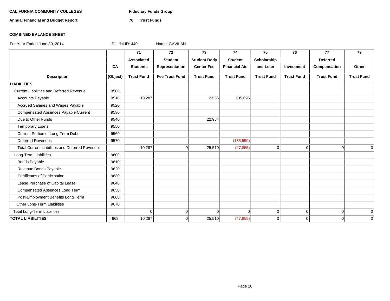# CALIFORNIA COMMUNITY COLLEGES Fiduciary Funds Group

**Annual Financial and Budget Report 70 Trust Funds**

### **COMBINED BALANCE SHEET**

|                                                       |          | 71                | 72                    | 73                  | 74                   | 75                | 76                | 77                | 79                |
|-------------------------------------------------------|----------|-------------------|-----------------------|---------------------|----------------------|-------------------|-------------------|-------------------|-------------------|
|                                                       |          | Associated        | <b>Student</b>        | <b>Student Body</b> | <b>Student</b>       | Scholarship       |                   | <b>Deferred</b>   |                   |
|                                                       | CA       | <b>Students</b>   | Representation        | <b>Center Fee</b>   | <b>Financial Aid</b> | and Loan          | Investment        | Compensation      | Other             |
| <b>Description</b>                                    | (Object) | <b>Trust Fund</b> | <b>Fee Trust Fund</b> | <b>Trust Fund</b>   | <b>Trust Fund</b>    | <b>Trust Fund</b> | <b>Trust Fund</b> | <b>Trust Fund</b> | <b>Trust Fund</b> |
| <b>LIABILITIES</b>                                    |          |                   |                       |                     |                      |                   |                   |                   |                   |
| <b>Current Liabilities and Deferred Revenue</b>       | 9500     |                   |                       |                     |                      |                   |                   |                   |                   |
| <b>Accounts Payable</b>                               | 9510     | 10,287            |                       | 2,556               | 135,695              |                   |                   |                   |                   |
| Accrued Salaries and Wages Payable                    | 9520     |                   |                       |                     |                      |                   |                   |                   |                   |
| Compensated Absences Payable Current                  | 9530     |                   |                       |                     |                      |                   |                   |                   |                   |
| Due to Other Funds                                    | 9540     |                   |                       | 22,954              |                      |                   |                   |                   |                   |
| <b>Temporary Loans</b>                                | 9550     |                   |                       |                     |                      |                   |                   |                   |                   |
| Current Portion of Long-Term Debt                     | 9560     |                   |                       |                     |                      |                   |                   |                   |                   |
| <b>Deferred Revenues</b>                              | 9570     |                   |                       |                     | (183, 550)           |                   |                   |                   |                   |
| <b>Total Current Liabilities and Deferred Revenue</b> |          | 10,287            | $\Omega$              | 25,510              | (47, 855)            | $\overline{0}$    | $\Omega$          | $\Omega$          | $\Omega$          |
| Long-Term Liabilities                                 | 9600     |                   |                       |                     |                      |                   |                   |                   |                   |
| <b>Bonds Payable</b>                                  | 9610     |                   |                       |                     |                      |                   |                   |                   |                   |
| Revenue Bonds Payable                                 | 9620     |                   |                       |                     |                      |                   |                   |                   |                   |
| Certificates of Participation                         | 9630     |                   |                       |                     |                      |                   |                   |                   |                   |
| Lease Purchase of Capital Lease                       | 9640     |                   |                       |                     |                      |                   |                   |                   |                   |
| Compensated Absences Long Term                        | 9650     |                   |                       |                     |                      |                   |                   |                   |                   |
| Post-Employment Benefits Long Term                    | 9660     |                   |                       |                     |                      |                   |                   |                   |                   |
| Other Long-Term Liabilities                           | 9670     |                   |                       |                     |                      |                   |                   |                   |                   |
| <b>Total Long-Term Liabilities</b>                    |          | $\Omega$          | $\overline{0}$        | $\Omega$            | $\Omega$             | 0                 | 0                 | $\overline{0}$    | 0                 |
| <b>TOTAL LIABILITIES</b>                              | 968      | 10,287            | $\Omega$              | 25,510              | (47, 855)            | Οl                | $\Omega$          | $\Omega$          | $\Omega$          |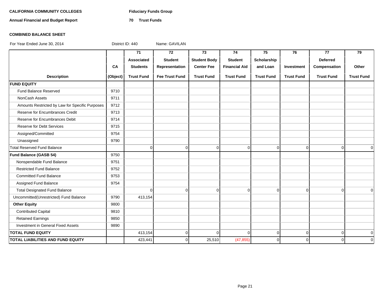# CALIFORNIA COMMUNITY COLLEGES Fiduciary Funds Group

**Annual Financial and Budget Report 70 Trust Funds**

### **COMBINED BALANCE SHEET**

|                                                 |          | $\overline{71}$   | $\overline{72}$       | $\overline{73}$     | $\overline{74}$      | 75                | 76                | $\overline{77}$   | $\overline{79}$   |
|-------------------------------------------------|----------|-------------------|-----------------------|---------------------|----------------------|-------------------|-------------------|-------------------|-------------------|
|                                                 |          | Associated        | <b>Student</b>        | <b>Student Body</b> | <b>Student</b>       | Scholarship       |                   | <b>Deferred</b>   |                   |
|                                                 | CA       | <b>Students</b>   | Representation        | <b>Center Fee</b>   | <b>Financial Aid</b> | and Loan          | Investment        | Compensation      | Other             |
| <b>Description</b>                              | (Object) | <b>Trust Fund</b> | <b>Fee Trust Fund</b> | <b>Trust Fund</b>   | <b>Trust Fund</b>    | <b>Trust Fund</b> | <b>Trust Fund</b> | <b>Trust Fund</b> | <b>Trust Fund</b> |
| <b>FUND EQUITY</b>                              |          |                   |                       |                     |                      |                   |                   |                   |                   |
| Fund Balance Reserved                           | 9710     |                   |                       |                     |                      |                   |                   |                   |                   |
| NonCash Assets                                  | 9711     |                   |                       |                     |                      |                   |                   |                   |                   |
| Amounts Restricted by Law for Specific Purposes | 9712     |                   |                       |                     |                      |                   |                   |                   |                   |
| Reserve for Encumbrances Credit                 | 9713     |                   |                       |                     |                      |                   |                   |                   |                   |
| Reserve for Encumbrances Debit                  | 9714     |                   |                       |                     |                      |                   |                   |                   |                   |
| <b>Reserve for Debt Services</b>                | 9715     |                   |                       |                     |                      |                   |                   |                   |                   |
| Assigned/Committed                              | 9754     |                   |                       |                     |                      |                   |                   |                   |                   |
| Unassigned                                      | 9790     |                   |                       |                     |                      |                   |                   |                   |                   |
| <b>Total Reserved Fund Balance</b>              |          | $\overline{0}$    | $\overline{0}$        | $\mathbf 0$         | $\mathbf 0$          | $\overline{0}$    | $\overline{0}$    | $\overline{0}$    | $\overline{0}$    |
| <b>Fund Balance (GASB 54)</b>                   | 9750     |                   |                       |                     |                      |                   |                   |                   |                   |
| Nonspendable Fund Balance                       | 9751     |                   |                       |                     |                      |                   |                   |                   |                   |
| <b>Restricted Fund Balance</b>                  | 9752     |                   |                       |                     |                      |                   |                   |                   |                   |
| <b>Committed Fund Balance</b>                   | 9753     |                   |                       |                     |                      |                   |                   |                   |                   |
| Assigned Fund Balance                           | 9754     |                   |                       |                     |                      |                   |                   |                   |                   |
| <b>Total Designated Fund Balance</b>            |          | $\Omega$          | $\Omega$              | $\mathbf 0$         | $\Omega$             | $\overline{0}$    | $\overline{0}$    | $\overline{0}$    | $\Omega$          |
| Uncommitted(Unrestricted) Fund Balance          | 9790     | 413,154           |                       |                     |                      |                   |                   |                   |                   |
| <b>Other Equity</b>                             | 9800     |                   |                       |                     |                      |                   |                   |                   |                   |
| <b>Contributed Capital</b>                      | 9810     |                   |                       |                     |                      |                   |                   |                   |                   |
| <b>Retained Earnings</b>                        | 9850     |                   |                       |                     |                      |                   |                   |                   |                   |
| Investment in General Fixed Assets              | 9890     |                   |                       |                     |                      |                   |                   |                   |                   |
| <b>TOTAL FUND EQUITY</b>                        |          | 413,154           | $\Omega$              | $\Omega$            | 0                    | $\overline{0}$    | $\overline{0}$    | $\overline{0}$    | $\mathbf 0$       |
| <b>TOTAL LIABILITIES AND FUND EQUITY</b>        |          | 423,441           | $\Omega$              | 25,510              | (47, 855)            | $\overline{0}$    | 0                 | $\Omega$          | $\mathbf 0$       |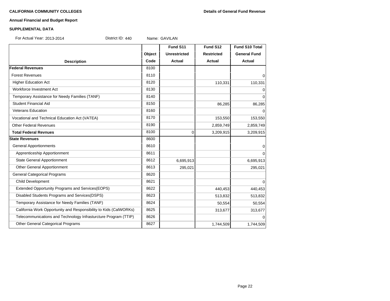#### **Annual Financial and Budget Report**

#### **SUPPLEMENTAL DATA**

For Actual Year: 2013-2014 District ID: 440 Name: GAVILAN

**Fund S11 Fund S12 Fund S10 Total Object Unrestricted Restricted General Fund Description Code Actual Actual Actual Federal Revenues** 8100 Forest Revenues and the set of the set of the set of the set of the set of the set of the set of the set of the set of the set of the set of the set of the set of the set of the set of the set of the set of the set of the Higher Education Act 110,331 110,331 110,331 110,331 110,331 110,331 110,331 110,331 Workforce Investment Act 8130 0 Temporary Assistance for Needy Families (TANF) 8140 0 Student Financial Aid 86.285 86.285 86.285 86.285 86.285 86.285 86.285 86.285 86.285 86.285 86.285 86.285 86.2 Veterans Education and a set of the set of the set of the set of the set of the set of the set of the set of the set of the set of the set of the set of the set of the set of the set of the set of the set of the set of the Vocational and Technical Education Act (VATEA) 153,550 153,550 153,550 153,550 153,550 Other Federal Revenues 2,859,749 2,859,749 2,859,749 **Total Federal Revnues** 8100 3,209,915 3,209,915 3,209,915 **State Revenues** 8600 General Apportionments and the set of the set of the set of the set of the set of the set of the set of the set of the set of the set of the set of the set of the set of the set of the set of the set of the set of the set Apprenticeship Apportionment and the control of the set of the set of the set of the set of the set of the set o State General Apportionment 1991 1991 1991 1991 1991 1992 1994 1995,913 1994 1995,913 1996,695,913 Other General Apportionment 295,021 8613 295,021 295,021 295,021 General Categorical Programs 8620 Child Development 8621 0 Extended Opportunity Programs and Services(EOPS) 8622 440,453 440,453 Disabled Students Programs and Services(DSPS) 8623 513,832 513,832 513,832 Temporary Assistance for Needy Families (TANF)  $8624$  8624 50,554 50,554 50,554 California Work Opportunity and Responsibility to Kids (CalWORKs) 8625 313,677 313,677 313,677 Telecommunications and Technology Infrasturcture Program (TTIP) 8626 0 Other General Categorical Programs 1,744,509 1,744,509 1,744,509 1,744,509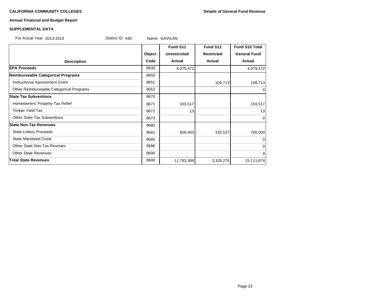#### **CALIFORNIA COMMUNITY COLLEGES Details of General Fund Revenue**

# **Annual Financial and Budget Report**

### **SUPPLEMENTAL DATA**

For Actual Year: 2013-2014 **District ID: 440** Name: GAVILAN

|                                          |        | Fund S11            | Fund S12          | <b>Fund S10 Total</b> |
|------------------------------------------|--------|---------------------|-------------------|-----------------------|
|                                          | Object | <b>Unrestricted</b> | <b>Restricted</b> | <b>General Fund</b>   |
| <b>Description</b>                       | Code   | Actual              | Actual            | Actual                |
| <b>EPA Proceeds</b>                      | 8630   | 4,079,472           |                   | 4,079,472             |
| Reimburseable Categorical Programs       | 8650   |                     |                   |                       |
| Instructional Inprovement Grant          | 8651   |                     | 109,713           | 109,713               |
| Other Reimburseable Categorical Programs | 8652   |                     |                   | $\overline{0}$        |
| <b>State Tax Subventions</b>             | 8670   |                     |                   |                       |
| Homeowners' Property Tax Refief          | 8671   | 103,517             |                   | 103,517               |
| <b>Timber Yield Tax</b>                  | 8672   | 13                  |                   | 13                    |
| <b>Other State Tax Subventions</b>       | 8673   |                     |                   | $\overline{0}$        |
| <b>State Non-Tax Revenues</b>            | 8680   |                     |                   |                       |
| <b>State Lottery Proceeds</b>            | 8681   | 609,463             | 155,537           | 765,000               |
| <b>State Mandated Costs</b>              | 8685   |                     |                   | $\overline{0}$        |
| <b>Other State Non-Tax Revnues</b>       | 8686   |                     |                   | $\overline{0}$        |
| <b>Other State Revenues</b>              | 8690   |                     |                   | $\Omega$              |
| <b>Total State Revenues</b>              | 8600   | 11,783,399          | 3,328,275         | 15,111,674            |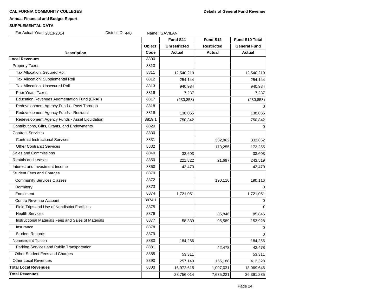#### **CALIFORNIA COMMUNITY COLLEGES Details of General Fund Revenue**

# **Annual Financial and Budget Report**

#### **SUPPLEMENTAL DATA**

For Actual Year: 2013-2014 **District ID: 440** Name: GAVILAN

|                                                     |        | Fund S11            | Fund S12          | Fund S10 Total      |
|-----------------------------------------------------|--------|---------------------|-------------------|---------------------|
|                                                     | Object | <b>Unrestricted</b> | <b>Restricted</b> | <b>General Fund</b> |
| <b>Description</b>                                  | Code   | Actual              | <b>Actual</b>     | <b>Actual</b>       |
| <b>Local Revenues</b>                               | 8800   |                     |                   |                     |
| <b>Property Taxes</b>                               | 8810   |                     |                   |                     |
| Tax Allocation, Secured Roll                        | 8811   | 12,540,219          |                   | 12,540,219          |
| Tax Allocation, Supplemental Roll                   | 8812   | 254,144             |                   | 254,144             |
| Tax Allocation, Unsecured Roll                      | 8813   | 940,984             |                   | 940,984             |
| <b>Prior Years Taxes</b>                            | 8816   | 7,237               |                   | 7,237               |
| Education Revenues Augmentation Fund (ERAF)         | 8817   | (230, 858)          |                   | (230, 858)          |
| Redevelopment Agency Funds - Pass Through           | 8818   |                     |                   |                     |
| Redevelopment Agency Funds - Residual               | 8819   | 138,055             |                   | 138,055             |
| Redevelopment Agency Funds - Asset Liquidation      | 8819.1 | 750,842             |                   | 750,842             |
| Contributions, Gifts, Grants, and Endowments        | 8820   |                     |                   | 0                   |
| <b>Contract Services</b>                            | 8830   |                     |                   |                     |
| <b>Contract Instructional Services</b>              | 8831   |                     | 332,862           | 332,862             |
| <b>Other Contranct Services</b>                     | 8832   |                     | 173,255           | 173,255             |
| Sales and Commissions                               | 8840   | 33,603              |                   | 33,603              |
| <b>Rentals and Leases</b>                           | 8850   | 221,822             | 21,697            | 243,519             |
| Interest and Investment Income                      | 8860   | 42,470              |                   | 42,470              |
| <b>Student Fees and Charges</b>                     | 8870   |                     |                   |                     |
| <b>Community Services Classes</b>                   | 8872   |                     | 190,116           | 190,116             |
| Dormitory                                           | 8873   |                     |                   |                     |
| Enrollment                                          | 8874   | 1,721,051           |                   | 1,721,051           |
| Contra Revenue Account                              | 8874.1 |                     |                   | 0                   |
| Field Trips and Use of Nondistrict Facilities       | 8875   |                     |                   | $\Omega$            |
| <b>Health Services</b>                              | 8876   |                     | 85,846            | 85,846              |
| Instructional Materials Fees and Sales of Materials | 8877   | 58,339              | 95,589            | 153,928             |
| Insurance                                           | 8878   |                     |                   |                     |
| <b>Student Records</b>                              | 8879   |                     |                   |                     |
| <b>Nonresident Tuition</b>                          | 8880   | 184,256             |                   | 184,256             |
| Parking Services and Public Transportation          | 8881   |                     | 42,478            | 42,478              |
| Other Student Fees and Charges                      | 8885   | 53,311              |                   | 53,311              |
| <b>Other Local Revenues</b>                         | 8890   | 257,140             | 155,188           | 412,328             |
| <b>Total Local Revenues</b>                         | 8800   | 16,972,615          | 1,097,031         | 18,069,646          |
| <b>Total Revenues</b>                               |        | 28,756,014          | 7,635,221         | 36,391,235          |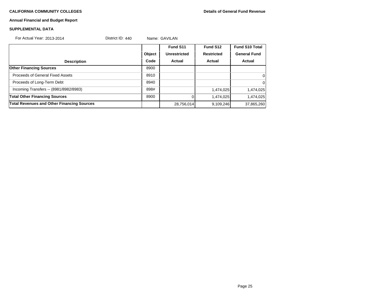# **Annual Financial and Budget Report**

### **SUPPLEMENTAL DATA**

For Actual Year: 2013-2014 **District ID: 440** Name: GAVILAN

|                                                   |        | Fund S11            | Fund S12          | <b>Fund S10 Total</b> |
|---------------------------------------------------|--------|---------------------|-------------------|-----------------------|
|                                                   | Object | <b>Unrestricted</b> | <b>Restricted</b> | <b>General Fund</b>   |
| <b>Description</b>                                | Code   | <b>Actual</b>       | Actual            | Actual                |
| <b>Other Financing Sources</b>                    | 8900   |                     |                   |                       |
| Proceeds of General Fixed Assets                  | 8910   |                     |                   | $\overline{0}$        |
| Proceeds of Long-Term Debt                        | 8940   |                     |                   | $\Omega$              |
| Incoming Transfers -- (8981/8982/8983)            | 898#   |                     | 1,474,025         | 1,474,025             |
| <b>Total Other Financing Sources</b>              | 8900   |                     | 1,474,025         | 1,474,025             |
| <b>Total Revenues and Other Financing Sources</b> |        | 28,756,014          | 9,109,246         | 37,865,260            |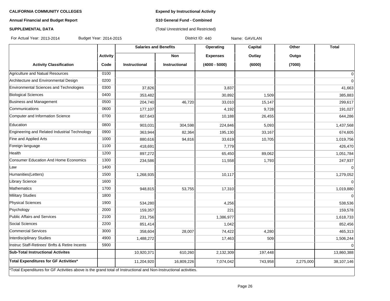**Expend by Instructional Activity**

(Total Unrestricted and Restricted)

# **Annual Financial and Budget Report**

# **S10 General Fund - Combined**

# **SUPPLEMENTAL DATA**

For Actual Year: 2013-2014 Budget Year: 2014-2015 **District ID: 440** Name: GAVILAN

|                                                                                                                   |                 |               | <b>Salaries and Benefits</b> | Operating       | Capital | Other     | <b>Total</b>   |
|-------------------------------------------------------------------------------------------------------------------|-----------------|---------------|------------------------------|-----------------|---------|-----------|----------------|
|                                                                                                                   | <b>Activity</b> |               | <b>Non</b>                   | <b>Expenses</b> | Outlay  | Outgo     |                |
| <b>Activity Classification</b>                                                                                    | Code            | Instructional | <b>Instructional</b>         | $(4000 - 5000)$ | (6000)  | (7000)    |                |
| Agriculture and Natual Resources                                                                                  | 0100            |               |                              |                 |         |           | $\mathbf 0$    |
| Architecture and Environmental Design                                                                             | 0200            |               |                              |                 |         |           | 0              |
| Environmental Sciences and Technologies                                                                           | 0300            | 37,826        |                              | 3,837           |         |           | 41,663         |
| <b>Biological Sciences</b>                                                                                        | 0400            | 353,482       |                              | 30,892          | 1,509   |           | 385,883        |
| Business and Management                                                                                           | 0500            | 204,740       | 46,720                       | 33,010          | 15,147  |           | 299,617        |
| Communications                                                                                                    | 0600            | 177,107       |                              | 4,192           | 9,728   |           | 191,027        |
| Computer and Information Science                                                                                  | 0700            | 607,643       |                              | 10,188          | 26,455  |           | 644,286        |
| Education                                                                                                         | 0800            | 903,031       | 304,598                      | 224,846         | 5,093   |           | 1,437,568      |
| Engineering and Related Industrial Technology                                                                     | 0900            | 363,944       | 82,364                       | 195,130         | 33,167  |           | 674,605        |
| Fine and Applied Arts                                                                                             | 1000            | 880,616       | 94,816                       | 33,619          | 10,705  |           | 1,019,756      |
| Foreign language                                                                                                  | 1100            | 418,691       |                              | 7,779           |         |           | 426,470        |
| Health                                                                                                            | 1200            | 897,272       |                              | 65,450          | 89,062  |           | 1,051,784      |
| Consumer Education And Home Economics                                                                             | 1300            | 234,586       |                              | 11,558          | 1,793   |           | 247,937        |
| Law                                                                                                               | 1400            |               |                              |                 |         |           | $\Omega$       |
| Humanities(Letters)                                                                                               | 1500            | 1,268,935     |                              | 10,117          |         |           | 1,279,052      |
| Library Science                                                                                                   | 1600            |               |                              |                 |         |           | $\overline{0}$ |
| Mathematics                                                                                                       | 1700            | 948,815       | 53,755                       | 17,310          |         |           | 1,019,880      |
| <b>Military Studies</b>                                                                                           | 1800            |               |                              |                 |         |           | $\Omega$       |
| <b>Physical Sciences</b>                                                                                          | 1900            | 534,280       |                              | 4,256           |         |           | 538,536        |
| Psychology                                                                                                        | 2000            | 159,357       |                              | 221             |         |           | 159,578        |
| Public Affairs and Services                                                                                       | 2100            | 231,756       |                              | 1,386,977       |         |           | 1,618,733      |
| Social Sciences                                                                                                   | 2200            | 851,414       |                              | 1,042           |         |           | 852,456        |
| Commercial Services                                                                                               | 3000            | 358,604       | 28,007                       | 74,422          | 4,280   |           | 465,313        |
| Interdisciplinary Studies                                                                                         | 4900            | 1,488,272     |                              | 17,463          | 509     |           | 1,506,244      |
| Instruc Staff-Retirees' Bnfts & Retire Incents                                                                    | 5900            |               |                              |                 |         |           | $\Omega$       |
| <b>Sub-Total Instructional Activites</b>                                                                          |                 | 10,920,371    | 610,260                      | 2,132,309       | 197,448 |           | 13,860,388     |
| Total Expenditures for GF Activities*                                                                             |                 | 11,204,920    | 16,809,226                   | 7,074,042       | 743,958 | 2,275,000 | 38,107,146     |
| *Total Expenditures for GF Activities above is the grand total of Instructional and Non-Instructional activities. |                 |               |                              |                 |         |           |                |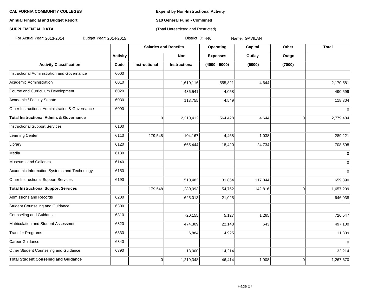# **Annual Financial and Budget Report S10 General Fund - Combined**

# **SUPPLEMENTAL DATA CONSERVATION CONSERVATION** (Total Unrestricted and Restricted)

For Actual Year: 2013-2014 Budget Year: 2014-2015 Contract Manusculing District ID: 440 Name: GAVILAN

|                                                    |                 | <b>Salaries and Benefits</b> |                      | Operating       | Capital | Other          | Total     |
|----------------------------------------------------|-----------------|------------------------------|----------------------|-----------------|---------|----------------|-----------|
|                                                    | <b>Activity</b> |                              | Non                  | <b>Expenses</b> | Outlay  | Outgo          |           |
| <b>Activity Classification</b>                     | Code            | <b>Instructional</b>         | <b>Instructional</b> | $(4000 - 5000)$ | (6000)  | (7000)         |           |
| Instructional Administration and Governance        | 6000            |                              |                      |                 |         |                |           |
| Academic Administration                            | 6010            |                              | 1,610,116            | 555,821         | 4,644   |                | 2,170,581 |
| Course and Curriculum Development                  | 6020            |                              | 486,541              | 4,058           |         |                | 490,599   |
| Academic / Faculty Senate                          | 6030            |                              | 113,755              | 4,549           |         |                | 118,304   |
| Other Instructional Administration & Governance    | 6090            |                              |                      |                 |         |                | 0         |
| <b>Total Instructional Admin. &amp; Governance</b> |                 | $\Omega$                     | 2,210,412            | 564,428         | 4,644   | $\Omega$       | 2,779,484 |
| <b>Instructional Support Services</b>              | 6100            |                              |                      |                 |         |                |           |
| Learning Center                                    | 6110            | 179,548                      | 104,167              | 4,468           | 1,038   |                | 289,221   |
| Library                                            | 6120            |                              | 665,444              | 18,420          | 24,734  |                | 708,598   |
| Media                                              | 6130            |                              |                      |                 |         |                | 0         |
| Museums and Gallaries                              | 6140            |                              |                      |                 |         |                | 0         |
| Academic Information Systems and Technology        | 6150            |                              |                      |                 |         |                | 0         |
| Other Instructional Support Services               | 6190            |                              | 510,482              | 31,864          | 117,044 |                | 659,390   |
| <b>Total Instructional Support Services</b>        |                 | 179,548                      | 1,280,093            | 54,752          | 142,816 | $\Omega$       | 1,657,209 |
| Admissions and Records                             | 6200            |                              | 625,013              | 21,025          |         |                | 646,038   |
| Student Counseling and Guidance                    | 6300            |                              |                      |                 |         |                |           |
| Counseling and Guidance                            | 6310            |                              | 720,155              | 5,127           | 1,265   |                | 726,547   |
| Matriculation and Student Assessment               | 6320            |                              | 474,309              | 22,148          | 643     |                | 497,100   |
| Transfer Programs                                  | 6330            |                              | 6,884                | 4,925           |         |                | 11,809    |
| Career Guidance                                    | 6340            |                              |                      |                 |         |                | $\Omega$  |
| Other Student Counseling and Guidance              | 6390            |                              | 18,000               | 14,214          |         |                | 32,214    |
| <b>Total Student Couseling and Guidance</b>        |                 | $\Omega$                     | 1,219,348            | 46,414          | 1,908   | $\overline{0}$ | 1,267,670 |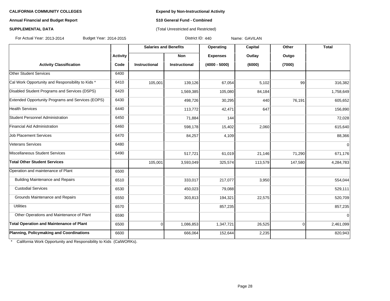## **Annual Financial and Budget Report S10 General Fund - Combined**

# **SUPPLEMENTAL DATA CONSERVATION CONSERVATION** (Total Unrestricted and Restricted)

For Actual Year: 2013-2014 Budget Year: 2014-2015 **District ID: 440** Name: GAVILAN

|                                                   |                 | <b>Salaries and Benefits</b> |                      | Operating<br>Capital |         | Other          | <b>Total</b> |
|---------------------------------------------------|-----------------|------------------------------|----------------------|----------------------|---------|----------------|--------------|
|                                                   | <b>Activity</b> |                              | <b>Non</b>           | <b>Expenses</b>      | Outlay  | Outgo          |              |
| <b>Activity Classification</b>                    | Code            | Instructional                | <b>Instructional</b> | $(4000 - 5000)$      | (6000)  | (7000)         |              |
| Other Student Services                            | 6400            |                              |                      |                      |         |                |              |
| Cal Work Opportunity and Responsibility to Kids * | 6410            | 105,001                      | 139,126              | 67,054               | 5,102   | 99             | 316,382      |
| Disabled Student Programs and Services (DSPS)     | 6420            |                              | 1,569,385            | 105,080              | 84,184  |                | 1,758,649    |
| Extended Opportunity Programs and Services (EOPS) | 6430            |                              | 498,726              | 30,295               | 440     | 76,191         | 605,652      |
| <b>Health Services</b>                            | 6440            |                              | 113,772              | 42,471               | 647     |                | 156,890      |
| Student Personnel Administration                  | 6450            |                              | 71,884               | 144                  |         |                | 72,028       |
| Financial Aid Administration                      | 6460            |                              | 598,178              | 15,402               | 2,060   |                | 615,640      |
| <b>Job Placement Services</b>                     | 6470            |                              | 84,257               | 4,109                |         |                | 88,366       |
| Veterans Services                                 | 6480            |                              |                      |                      |         |                | $\mathbf 0$  |
| Miscellaneous Student Services                    | 6490            |                              | 517,721              | 61,019               | 21,146  | 71,290         | 671,176      |
| <b>Total Other Student Services</b>               |                 | 105,001                      | 3,593,049            | 325,574              | 113,579 | 147,580        | 4,284,783    |
| Operation and maintenance of Plant                | 6500            |                              |                      |                      |         |                |              |
| <b>Building Maintenance and Repairs</b>           | 6510            |                              | 333,017              | 217,077              | 3,950   |                | 554,044      |
| <b>Custodial Services</b>                         | 6530            |                              | 450,023              | 79,088               |         |                | 529,111      |
| Grounds Maintenance and Repairs                   | 6550            |                              | 303,813              | 194,321              | 22,575  |                | 520,709      |
| <b>Utilities</b>                                  | 6570            |                              |                      | 857,235              |         |                | 857,235      |
| Other Operations and Maintenance of Plant         | 6590            |                              |                      |                      |         |                | $\Omega$     |
| <b>Total Operation and Maintenance of Plant</b>   | 6500            | $\mathbf 0$                  | 1,086,853            | 1,347,721            | 26,525  | $\overline{0}$ | 2,461,099    |
| <b>Planning, Policymaking and Coordinations</b>   | 6600            |                              | 666,064              | 152,644              | 2,235   |                | 820,943      |

California Work Opportunity and Responsibility to Kids (CalWORKs).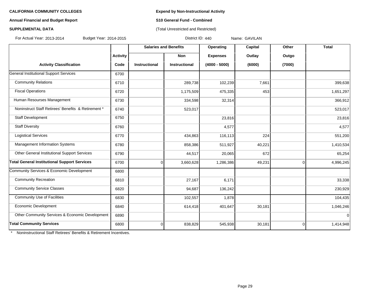## **Annual Financial and Budget Report S10 General Fund - Combined**

# **SUPPLEMENTAL DATA CONSERVATION CONSERVATION** (Total Unrestricted and Restricted)

For Actual Year: 2013-2014 Budget Year: 2014-2015 **District ID: 440** Name: GAVILAN

|                                                     |                 | <b>Salaries and Benefits</b> |                      | <b>Operating</b> | Capital | Other          | <b>Total</b> |
|-----------------------------------------------------|-----------------|------------------------------|----------------------|------------------|---------|----------------|--------------|
|                                                     | <b>Activity</b> |                              | <b>Non</b>           | <b>Expenses</b>  | Outlay  | Outgo          |              |
| <b>Activity Classification</b>                      | Code            | <b>Instructional</b>         | <b>Instructional</b> | $(4000 - 5000)$  | (6000)  | (7000)         |              |
| <b>General Institutional Support Services</b>       | 6700            |                              |                      |                  |         |                |              |
| <b>Community Relations</b>                          | 6710            |                              | 289,738              | 102,239          | 7,661   |                | 399,638      |
| <b>Fiscal Operations</b>                            | 6720            |                              | 1,175,509            | 475,335          | 453     |                | 1,651,297    |
| Human Resourses Management                          | 6730            |                              | 334,598              | 32,314           |         |                | 366,912      |
| Noninstruct Staff Retirees' Benefits & Retirement * | 6740            |                              | 523,017              |                  |         |                | 523,017      |
| Staff Development                                   | 6750            |                              |                      | 23,816           |         |                | 23,816       |
| <b>Staff Diversity</b>                              | 6760            |                              |                      | 4,577            |         |                | 4,577        |
| <b>Logistical Services</b>                          | 6770            |                              | 434,863              | 116,113          | 224     |                | 551,200      |
| Management Information Systems                      | 6780            |                              | 858,386              | 511,927          | 40,221  |                | 1,410,534    |
| Other General Institutional Support Services        | 6790            |                              | 44,517               | 20,065           | 672     |                | 65,254       |
| <b>Total General Institutional Support Services</b> | 6700            | $\overline{0}$               | 3,660,628            | 1,286,386        | 49,231  | $\overline{0}$ | 4,996,245    |
| Community Services & Economic Development           | 6800            |                              |                      |                  |         |                |              |
| <b>Community Recreation</b>                         | 6810            |                              | 27,167               | 6,171            |         |                | 33,338       |
| <b>Community Service Classes</b>                    | 6820            |                              | 94,687               | 136,242          |         |                | 230,929      |
| <b>Community Use of Facilities</b>                  | 6830            |                              | 102,557              | 1,878            |         |                | 104,435      |
| Economic Development                                | 6840            |                              | 614,418              | 401,647          | 30,181  |                | 1,046,246    |
| Other Community Services & Economic Development     | 6890            |                              |                      |                  |         |                | $\Omega$     |
| <b>Total Community Services</b>                     | 6800            | $\overline{0}$               | 838,829              | 545,938          | 30,181  | $\overline{0}$ | 1,414,948    |

\* Noninstructional Staff Retirees' Benefits & Retirement Incentives.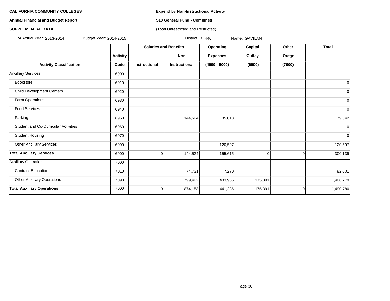**Annual Financial and Budget Report S10 General Fund - Combined**

### **SUPPLEMENTAL DATA CONSERVATION CONSERVATION** (Total Unrestricted and Restricted)

For Actual Year: 2013-2014 Budget Year: 2014-2015 Contract Manusculing District ID: 440 Name: GAVILAN

|                                             |                 | <b>Salaries and Benefits</b> |                      | Operating       | Capital  | Other  | <b>Total</b>   |
|---------------------------------------------|-----------------|------------------------------|----------------------|-----------------|----------|--------|----------------|
|                                             | <b>Activity</b> |                              | Non                  | <b>Expenses</b> | Outlay   | Outgo  |                |
| <b>Activity Classification</b>              | Code            | <b>Instructional</b>         | <b>Instructional</b> | $(4000 - 5000)$ | (6000)   | (7000) |                |
| <b>Ancillary Services</b>                   | 6900            |                              |                      |                 |          |        |                |
| Bookstore                                   | 6910            |                              |                      |                 |          |        | $\overline{0}$ |
| <b>Child Development Centers</b>            | 6920            |                              |                      |                 |          |        | $\overline{0}$ |
| Farm Operations                             | 6930            |                              |                      |                 |          |        | $\overline{0}$ |
| <b>Food Services</b>                        | 6940            |                              |                      |                 |          |        | $\overline{0}$ |
| Parking                                     | 6950            |                              | 144,524              | 35,018          |          |        | 179,542        |
| <b>Student and Co-Curricular Activities</b> | 6960            |                              |                      |                 |          |        | $\overline{0}$ |
| <b>Student Housing</b>                      | 6970            |                              |                      |                 |          |        | $\overline{0}$ |
| <b>Other Ancillary Services</b>             | 6990            |                              |                      | 120,597         |          |        | 120,597        |
| <b>Total Ancillary Services</b>             | 6900            | 0                            | 144,524              | 155,615         | $\Omega$ | 0      | 300,139        |
| <b>Auxiliary Operations</b>                 | 7000            |                              |                      |                 |          |        |                |
| <b>Contract Education</b>                   | 7010            |                              | 74,731               | 7,270           |          |        | 82,001         |
| <b>Other Auxiliary Operations</b>           | 7090            |                              | 799,422              | 433,966         | 175,391  |        | 1,408,779      |
| <b>Total Auxiliary Operations</b>           | 7000            | 0                            | 874,153              | 441,236         | 175,391  | 0      | 1,490,780      |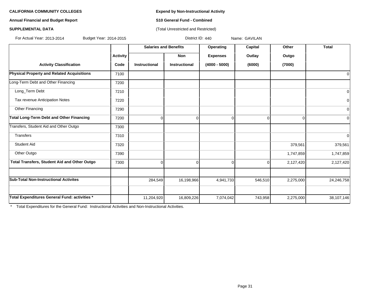**Annual Financial and Budget Report S10 General Fund - Combined**

### **SUPPLEMENTAL DATA CONSERVATION CONSERVATION** (Total Unrestricted and Restricted)

For Actual Year: 2013-2014 Budget Year: 2014-2015 Book Contract ID: 440 Name: GAVILAN

|                                               |                 |               | <b>Salaries and Benefits</b> | Operating       | Capital  | Other     | <b>Total</b> |
|-----------------------------------------------|-----------------|---------------|------------------------------|-----------------|----------|-----------|--------------|
|                                               | <b>Activity</b> |               | Non                          | <b>Expenses</b> | Outlay   | Outgo     |              |
| <b>Activity Classification</b>                | Code            | Instructional | Instructional                | $(4000 - 5000)$ | (6000)   | (7000)    |              |
| Physical Property and Related Acquisitions    | 7100            |               |                              |                 |          |           | 0            |
| Long-Term Debt and Other Financing            | 7200            |               |                              |                 |          |           |              |
| Long_Term Debt                                | 7210            |               |                              |                 |          |           | 0            |
| Tax revenue Anticipation Notes                | 7220            |               |                              |                 |          |           | 0            |
| Other Financing                               | 7290            |               |                              |                 |          |           | $\mathbf 0$  |
| Total Long-Term Debt and Other Financing      | 7200            | $\Omega$      | $\Omega$                     | $\Omega$        | $\Omega$ | 0         | $\mathbf 0$  |
| Transfers, Student Aid and Other Outgo        | 7300            |               |                              |                 |          |           |              |
| <b>Transfers</b>                              | 7310            |               |                              |                 |          |           | 0            |
| <b>Student Aid</b>                            | 7320            |               |                              |                 |          | 379,561   | 379,561      |
| Other Outgo                                   | 7390            |               |                              |                 |          | 1,747,859 | 1,747,859    |
| Total Transfers, Student Aid and Other Outgo  | 7300            | $\Omega$      | $\Omega$                     | $\Omega$        | $\Omega$ | 2,127,420 | 2,127,420    |
| <b>Sub-Total Non-Instructional Activites</b>  |                 | 284,549       | 16,198,966                   | 4,941,733       | 546,510  | 2,275,000 | 24,246,758   |
|                                               |                 |               |                              |                 |          |           |              |
| Total Expenditures General Fund: activities * |                 | 11,204,920    | 16,809,226                   | 7,074,042       | 743,958  | 2,275,000 | 38,107,146   |

\* Total Expenditures for the General Fund: Instructional Activities and Non-Instructional Activities.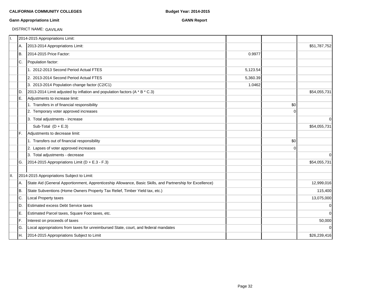# **Gann Appropriations Limit GANN Report**

DISTRICT NAME: GAVILAN

| Π.   |     | 2014-2015 Appropriations Limit:                                                                           |          |                |                |
|------|-----|-----------------------------------------------------------------------------------------------------------|----------|----------------|----------------|
|      | IA. | 2013-2014 Appropriations Limit:                                                                           |          |                | \$51,787,752   |
|      | IB. | 2014-2015 Price Factor:                                                                                   | 0.9977   |                |                |
|      | IC. | Population factor:                                                                                        |          |                |                |
|      |     | 1. 2012-2013 Second Period Actual FTES                                                                    | 5,123.54 |                |                |
|      |     | 2. 2013-2014 Second Period Actual FTES                                                                    | 5,360.39 |                |                |
|      |     | 3. 2013-2014 Population change factor (C2/C1)                                                             | 1.0462   |                |                |
|      | D.  | 2013-2014 Limit adjusted by inflation and population factors (A * B * C.3)                                |          |                | \$54,055,731   |
|      | lE. | Adjustments to increase limit:                                                                            |          |                |                |
|      |     | 1. Transfers in of financial responsibility                                                               |          | \$0            |                |
|      |     | 2. Temporary voter approved increases                                                                     |          | $\Omega$       |                |
|      |     | 3. Total adjustments - increase                                                                           |          |                | $\Omega$       |
|      |     | Sub-Total $(D + E.3)$                                                                                     |          |                | \$54,055,731   |
|      | IF. | Adjustments to decrease limit:                                                                            |          |                |                |
|      |     | 1. Transfers out of financial responsibility                                                              |          | \$0            |                |
|      |     | 2. Lapses of voter approved increases                                                                     |          | $\overline{0}$ |                |
|      |     | 3. Total adjustments - decrease                                                                           |          |                | $\Omega$       |
|      | IG. | 2014-2015 Appropriations Limit ( $D + E.3 - F.3$ )                                                        |          |                | \$54,055,731   |
|      |     |                                                                                                           |          |                |                |
| III. |     | 2014-2015 Appropriations Subject to Limit:                                                                |          |                |                |
|      | IA. | State Aid (General Apportionment, Apprenticeship Allowance, Basic Skills, and Partnership for Excellence) |          |                | 12,999,016     |
|      | B.  | State Subventions (Home Owners Property Tax Relief, Timber Yield tax, etc.)                               |          |                | 115,400        |
|      | C.  | Local Property taxes                                                                                      |          |                | 13,075,000     |
|      | ID. | <b>Estimated excess Debt Service taxes</b>                                                                |          |                | $\overline{0}$ |
|      | IE. | Estimated Parcel taxes, Square Foot taxes, etc.                                                           |          |                | $\overline{0}$ |
|      | F.  | Interest on proceeds of taxes                                                                             |          |                | 50,000         |
|      | lG. | Local appropriations from taxes for unreimbursed State, court, and federal mandates                       |          |                | $\Omega$       |
|      | IH. | 2014-2015 Appropriations Subject to Limit                                                                 |          |                | \$26,239,416   |
|      |     |                                                                                                           |          |                |                |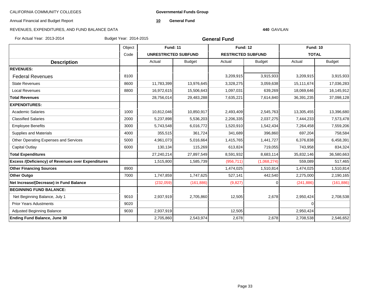**Governmental Funds Group**

Annual Financial and Budget Report

**10 General Fund**

#### **440** GAVILAN

| For Actual Year: 2013-2014                         | Budget Year: 2014-2015 |                             |               | <b>General Fund</b>       |               |                 |               |
|----------------------------------------------------|------------------------|-----------------------------|---------------|---------------------------|---------------|-----------------|---------------|
|                                                    | Object                 | <b>Fund: 11</b>             |               | <b>Fund: 12</b>           |               | <b>Fund: 10</b> |               |
|                                                    | Code                   | <b>UNRESTRICTED SUBFUND</b> |               | <b>RESTRICTED SUBFUND</b> |               | <b>TOTAL</b>    |               |
| <b>Description</b>                                 |                        | Actual                      | <b>Budget</b> | Actual                    | <b>Budget</b> | Actual          | <b>Budget</b> |
| <b>REVENUES:</b>                                   |                        |                             |               |                           |               |                 |               |
| <b>Federal Revenues</b>                            | 8100                   |                             |               | 3,209,915                 | 3,915,933     | 3,209,915       | 3,915,933     |
| <b>State Revenues</b>                              | 8600                   | 11,783,399                  | 13,976,645    | 3,328,275                 | 3,059,638     | 15,111,674      | 17,036,283    |
| <b>Local Revenues</b>                              | 8800                   | 16,972,615                  | 15,506,643    | 1,097,031                 | 639,269       | 18,069,646      | 16,145,912    |
| <b>Total Revenues</b>                              |                        | 28,756,014                  | 29,483,288    | 7,635,221                 | 7,614,840     | 36,391,235      | 37,098,128    |
| <b>EXPENDITURES:</b>                               |                        |                             |               |                           |               |                 |               |
| <b>Academic Salaries</b>                           | 1000                   | 10,812,046                  | 10,850,917    | 2,493,409                 | 2,545,763     | 13,305,455      | 13,396,680    |
| <b>Classified Salaries</b>                         | 2000                   | 5,237,898                   | 5,536,203     | 2,206,335                 | 2,037,275     | 7,444,233       | 7,573,478     |
| <b>Employee Benefits</b>                           | 3000                   | 5,743,548                   | 6,016,772     | 1,520,910                 | 1,542,434     | 7,264,458       | 7,559,206     |
| <b>Supplies and Materials</b>                      | 4000                   | 355,515                     | 361,724       | 341,689                   | 396,860       | 697,204         | 758,584       |
| Other Operating Expenses and Services              | 5000                   | 4,961,073                   | 5,016,664     | 1,415,765                 | 1,441,727     | 6,376,838       | 6,458,391     |
| <b>Capital Outlay</b>                              | 6000                   | 130,134                     | 115,269       | 613,824                   | 719,055       | 743,958         | 834,324       |
| <b>Total Expenditures</b>                          |                        | 27,240,214                  | 27,897,549    | 8,591,932                 | 8,683,114     | 35,832,146      | 36,580,663    |
| Excess /(Deficiency) of Revenues over Expenditures |                        | 1,515,800                   | 1,585,739     | (956, 711)                | (1,068,274)   | 559,089         | 517,465       |
| <b>Other Financing Sources</b>                     | 8900                   |                             |               | 1,474,025                 | 1,510,814     | 1,474,025       | 1,510,814     |
| <b>Other Outgo</b>                                 | 7000                   | 1,747,859                   | 1,747,625     | 527,141                   | 442,540       | 2,275,000       | 2,190,165     |
| Net Increase/(Decrease) in Fund Balance            |                        | (232,059)                   | (161, 886)    | (9,827)                   |               | (241, 886)      | (161, 886)    |
| <b>BEGINNING FUND BALANCE:</b>                     |                        |                             |               |                           |               |                 |               |
| Net Beginning Balance, July 1                      | 9010                   | 2,937,919                   | 2,705,860     | 12,505                    | 2,678         | 2,950,424       | 2,708,538     |
| <b>Prior Years Adustments</b>                      | 9020                   |                             |               |                           |               | $\Omega$        |               |
| <b>Adjusted Beginning Balance</b>                  | 9030                   | 2,937,919                   |               | 12,505                    |               | 2,950,424       |               |
| <b>Ending Fund Balance, June 30</b>                |                        | 2,705,860                   | 2,543,974     | 2,678                     | 2,678         | 2,708,538       | 2,546,652     |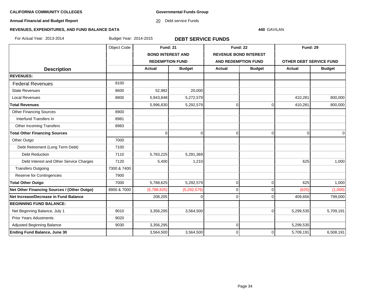**Governmental Funds Group**

**Annual Financial and Budget Report**

20 Debt service Funds

#### **440** GAVILAN

# **REVENUES, EXPENDITURES, AND FUND BALANCE DATA**

For Actual Year: 2013-2014 Budget Year: 2014-2015 **DEBT SERVICE FUNDS**

|                                             | Object Code | <b>Fund: 21</b>          |               | <b>Fund: 22</b>            |                              | <b>Fund: 29</b>         |               |
|---------------------------------------------|-------------|--------------------------|---------------|----------------------------|------------------------------|-------------------------|---------------|
|                                             |             | <b>BOND INTEREST AND</b> |               |                            | <b>REVENUE BOND INTEREST</b> |                         |               |
|                                             |             | <b>REDEMPTION FUND</b>   |               | <b>AND REDEMPTION FUND</b> |                              | OTHER DEBT SERVICE FUND |               |
| <b>Description</b>                          |             | <b>Actual</b>            | <b>Budget</b> | <b>Actual</b>              | <b>Budget</b>                | Actual                  | <b>Budget</b> |
| <b>REVENUES:</b>                            |             |                          |               |                            |                              |                         |               |
| <b>Federal Revenues</b>                     | 8100        |                          |               |                            |                              |                         |               |
| <b>State Revenues</b>                       | 8600        | 52,982                   | 20,000        |                            |                              |                         |               |
| <b>Local Revenues</b>                       | 8800        | 5,943,848                | 5,272,579     |                            |                              | 410,281                 | 800,000       |
| <b>Total Revenues</b>                       |             | 5,996,830                | 5,292,579     | $\mathbf 0$                | 0                            | 410,281                 | 800,000       |
| <b>Other Financing Sources</b>              | 8900        |                          |               |                            |                              |                         |               |
| Interfund Transfers In                      | 8981        |                          |               |                            |                              |                         |               |
| Other Incoming Transfers                    | 8983        |                          |               |                            |                              |                         |               |
| <b>Total Other Financing Sources</b>        |             | $\Omega$                 | $\Omega$      | $\mathbf 0$                | $\Omega$                     | $\overline{0}$          | $\Omega$      |
| Other Outgo                                 | 7000        |                          |               |                            |                              |                         |               |
| Debt Retirement (Long Term Debt)            | 7100        |                          |               |                            |                              |                         |               |
| <b>Debt Reduction</b>                       | 7110        | 5,783,225                | 5,291,369     |                            |                              |                         |               |
| Debt Interest and Other Service Charges     | 7120        | 5,400                    | 1,210         |                            |                              | 625                     | 1,000         |
| <b>Transfers Outgoing</b>                   | 7300 & 7400 |                          |               |                            |                              |                         |               |
| Reserve for Contingencies                   | 7900        |                          |               |                            |                              |                         |               |
| <b>Total Other Outgo</b>                    | 7000        | 5,788,625                | 5,292,579     | $\mathbf 0$                | $\mathbf 0$                  | 625                     | 1,000         |
| Net Other Financing Sources / (Other Outgo) | 8900 & 7000 | (5,788,625)              | (5, 292, 579) | $\mathbf 0$                | 0                            | (625)                   | (1,000)       |
| Net Increase/Decrease in Fund Balance       |             | 208,205                  | U             | $\mathbf 0$                | $\Omega$                     | 409,656                 | 799,000       |
| <b>BEGINNING FUND BALANCE:</b>              |             |                          |               |                            |                              |                         |               |
| Net Beginning Balance, July 1               | 9010        | 3,356,295                | 3,564,500     |                            | $\Omega$                     | 5,299,535               | 5,709,191     |
| <b>Prior Years Adustments</b>               | 9020        |                          |               |                            |                              |                         |               |
| Adjusted Beginning Balance                  | 9030        | 3,356,295                |               | 0                          |                              | 5,299,535               |               |
| <b>Ending Fund Balance, June 30</b>         |             | 3,564,500                | 3,564,500     | $\mathbf 0$                | 0                            | 5,709,191               | 6,508,191     |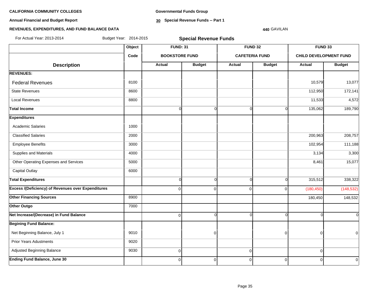**Annual Financial and Budget Report**

**Governmental Funds Group**

**30 Special Revenue Funds -- Part 1**

# **REVENUES, EXPENDITURES, AND FUND BALANCE DATA**

# **440** GAVILAN

| For Actual Year: 2013-2014                                | Budget Year: 2014-2015 | <b>Special Revenue Funds</b> |                |             |                       |                               |               |  |  |  |
|-----------------------------------------------------------|------------------------|------------------------------|----------------|-------------|-----------------------|-------------------------------|---------------|--|--|--|
|                                                           | Object                 | <b>FUND: 31</b>              |                |             | <b>FUND 32</b>        | FUND 33                       |               |  |  |  |
|                                                           | Code                   | <b>BOOKSTORE FUND</b>        |                |             | <b>CAFETERIA FUND</b> | <b>CHILD DEVELOPMENT FUND</b> |               |  |  |  |
| <b>Description</b>                                        |                        | <b>Actual</b>                | <b>Budget</b>  | Actual      | <b>Budget</b>         | <b>Actual</b>                 | <b>Budget</b> |  |  |  |
| <b>REVENUES:</b>                                          |                        |                              |                |             |                       |                               |               |  |  |  |
| <b>Federal Revenues</b>                                   | 8100                   |                              |                |             |                       | 10,579                        | 13,077        |  |  |  |
| <b>State Revenues</b>                                     | 8600                   |                              |                |             |                       | 112,950                       | 172,141       |  |  |  |
| <b>Local Revenues</b>                                     | 8800                   |                              |                |             |                       | 11,533                        | 4,572         |  |  |  |
| <b>Total Income</b>                                       |                        | $\Omega$                     | $\Omega$       | $\Omega$    | n                     | 135,062                       | 189,790       |  |  |  |
| <b>Expenditures</b>                                       |                        |                              |                |             |                       |                               |               |  |  |  |
| <b>Academic Salaries</b>                                  | 1000                   |                              |                |             |                       |                               |               |  |  |  |
| <b>Classified Salaries</b>                                | 2000                   |                              |                |             |                       | 200,963                       | 208,757       |  |  |  |
| <b>Employee Benefits</b>                                  | 3000                   |                              |                |             |                       | 102,954                       | 111,188       |  |  |  |
| Supplies and Materials                                    | 4000                   |                              |                |             |                       | 3,134                         | 3,300         |  |  |  |
| Other Operating Expenses and Services                     | 5000                   |                              |                |             |                       | 8,461                         | 15,077        |  |  |  |
| <b>Capital Outlay</b>                                     | 6000                   |                              |                |             |                       |                               |               |  |  |  |
| <b>Total Expenditures</b>                                 |                        | $\overline{0}$               | $\mathbf 0$    | $\Omega$    | $\Omega$              | 315,512                       | 338,322       |  |  |  |
| <b>Excess /(Deficiency) of Revenues over Expenditures</b> |                        | $\overline{0}$               | $\Omega$       | $\Omega$    | $\Omega$              | (180, 450)                    | (148, 532)    |  |  |  |
| <b>Other Financing Sources</b>                            | 8900                   |                              |                |             |                       | 180,450                       | 148,532       |  |  |  |
| Other Outgo                                               | 7000                   |                              |                |             |                       |                               |               |  |  |  |
| Net Increase/(Decrease) in Fund Balance                   |                        | $\overline{0}$               | $\Omega$       | $\Omega$    | $\cap$                |                               | $\Omega$      |  |  |  |
| <b>Begining Fund Balance:</b>                             |                        |                              |                |             |                       |                               |               |  |  |  |
| Net Beginning Balance, July 1                             | 9010                   |                              | $\Omega$       |             | $\Omega$              |                               | $\Omega$      |  |  |  |
| <b>Prior Years Adustments</b>                             | 9020                   |                              |                |             |                       |                               |               |  |  |  |
| Adjusted Beginning Balance                                | 9030                   | $\overline{0}$               |                | $\mathbf 0$ |                       | $\Omega$                      |               |  |  |  |
| <b>Ending Fund Balance, June 30</b>                       |                        | $\Omega$                     | $\overline{0}$ | $\mathbf 0$ | $\overline{0}$        | $\Omega$                      | $\Omega$      |  |  |  |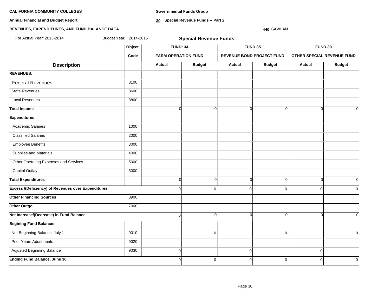**Annual Financial and Budget Report**

**Governmental Funds Group**

**30 Special Revenue Funds -- Part 2**

## **REVENUES, EXPENDITURES, AND FUND BALANCE DATA**

#### **440** GAVILAN

| For Actual Year: 2013-2014                                | Budget Year: 2014-2015 | <b>Special Revenue Funds</b> |                |                |                                  |             |                            |  |  |
|-----------------------------------------------------------|------------------------|------------------------------|----------------|----------------|----------------------------------|-------------|----------------------------|--|--|
|                                                           | Object                 | <b>FUND: 34</b>              |                |                | FUND 35                          |             | FUND 39                    |  |  |
|                                                           | Code                   | <b>FARM OPERATION FUND</b>   |                |                | <b>REVENUE BOND PROJECT FUND</b> |             | OTHER SPECIAL REVENUE FUND |  |  |
| <b>Description</b>                                        |                        | Actual                       | <b>Budget</b>  | Actual         | <b>Budget</b>                    | Actual      | <b>Budget</b>              |  |  |
| <b>REVENUES:</b>                                          |                        |                              |                |                |                                  |             |                            |  |  |
| <b>Federal Revenues</b>                                   | 8100                   |                              |                |                |                                  |             |                            |  |  |
| <b>State Revenues</b>                                     | 8600                   |                              |                |                |                                  |             |                            |  |  |
| <b>Local Revenues</b>                                     | 8800                   |                              |                |                |                                  |             |                            |  |  |
| Total Income                                              |                        | $\Omega$                     | $\Omega$       | $\Omega$       | $\Omega$                         | ∩           | $\Omega$                   |  |  |
| <b>Expenditures</b>                                       |                        |                              |                |                |                                  |             |                            |  |  |
| <b>Academic Salaries</b>                                  | 1000                   |                              |                |                |                                  |             |                            |  |  |
| <b>Classified Salaries</b>                                | 2000                   |                              |                |                |                                  |             |                            |  |  |
| <b>Employee Benefits</b>                                  | 3000                   |                              |                |                |                                  |             |                            |  |  |
| Supplies and Materials                                    | 4000                   |                              |                |                |                                  |             |                            |  |  |
| Other Operating Expenses and Services                     | 5000                   |                              |                |                |                                  |             |                            |  |  |
| <b>Capital Outlay</b>                                     | 6000                   |                              |                |                |                                  |             |                            |  |  |
| <b>Total Expenditures</b>                                 |                        | $\mathbf 0$                  | $\overline{0}$ | $\Omega$       | $\overline{0}$                   | $\Omega$    | $\overline{O}$             |  |  |
| <b>Excess /(Deficiency) of Revenues over Expenditures</b> |                        | $\Omega$                     | $\overline{0}$ | $\Omega$       | $\Omega$                         | $\Omega$    | $\overline{0}$             |  |  |
| <b>Other Financing Sources</b>                            | 8900                   |                              |                |                |                                  |             |                            |  |  |
| Other Outgo                                               | 7000                   |                              |                |                |                                  |             |                            |  |  |
| Net Increase/(Decrease) in Fund Balance                   |                        | $\Omega$                     | $\Omega$       | ∩              | U                                |             | $\Omega$                   |  |  |
| <b>Begining Fund Balance:</b>                             |                        |                              |                |                |                                  |             |                            |  |  |
| Net Beginning Balance, July 1                             | 9010                   |                              | $\overline{0}$ |                | n                                |             | $\Omega$                   |  |  |
| <b>Prior Years Adustments</b>                             | 9020                   |                              |                |                |                                  |             |                            |  |  |
| Adjusted Beginning Balance                                | 9030                   | $\pmb{0}$                    |                | $\overline{0}$ |                                  | $\mathbf 0$ |                            |  |  |
| <b>Ending Fund Balance, June 30</b>                       |                        | 0                            | $\overline{0}$ | $\mathbf 0$    | $\mathbf 0$                      | $\Omega$    | $\overline{0}$             |  |  |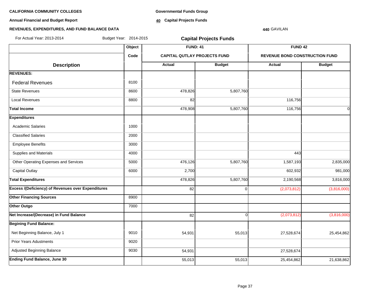**Annual Financial and Budget Report**

**Governmental Funds Group**

**40 Capital Projects Funds**

### **440** GAVILAN

| For Actual Year: 2013-2014                                | Budget Year: 2014-2015 |                                     | <b>Capital Projects Funds</b> |                                |               |
|-----------------------------------------------------------|------------------------|-------------------------------------|-------------------------------|--------------------------------|---------------|
|                                                           | Object                 | <b>FUND: 41</b>                     |                               | <b>FUND 42</b>                 |               |
|                                                           | Code                   | <b>CAPITAL QUTLAY PROJECTS FUND</b> |                               | REVENUE BOND CONSTRUCTION FUND |               |
| <b>Description</b>                                        |                        | Actual                              | <b>Budget</b>                 | <b>Actual</b>                  | <b>Budget</b> |
| <b>REVENUES:</b>                                          |                        |                                     |                               |                                |               |
| <b>Federal Revenues</b>                                   | 8100                   |                                     |                               |                                |               |
| <b>State Revenues</b>                                     | 8600                   | 478,826                             | 5,807,760                     |                                |               |
| <b>Local Revenues</b>                                     | 8800                   | 82                                  |                               | 116,756                        |               |
| <b>Total Income</b>                                       |                        | 478,908                             | 5,807,760                     | 116,756                        | 0l            |
| <b>Expenditures</b>                                       |                        |                                     |                               |                                |               |
| <b>Academic Salaries</b>                                  | 1000                   |                                     |                               |                                |               |
| <b>Classified Salaries</b>                                | 2000                   |                                     |                               |                                |               |
| <b>Employee Benefits</b>                                  | 3000                   |                                     |                               |                                |               |
| Supplies and Materials                                    | 4000                   |                                     |                               | 443                            |               |
| Other Operating Expenses and Services                     | 5000                   | 476,126                             | 5,807,760                     | 1,587,193                      | 2,835,000     |
| <b>Capital Outlay</b>                                     | 6000                   | 2,700                               |                               | 602,932                        | 981,000       |
| <b>Total Expenditures</b>                                 |                        | 478,826                             | 5,807,760                     | 2,190,568                      | 3,816,000     |
| <b>Excess /(Deficiency) of Revenues over Expenditures</b> |                        | 82                                  | $\overline{0}$                | (2,073,812)                    | (3,816,000)   |
| <b>Other Financing Sources</b>                            | 8900                   |                                     |                               |                                |               |
| Other Outgo                                               | 7000                   |                                     |                               |                                |               |
| Net Increase/(Decrease) in Fund Balance                   |                        | 82                                  | $\Omega$                      | (2,073,812)                    | (3,816,000)   |
| <b>Begining Fund Balance:</b>                             |                        |                                     |                               |                                |               |
| Net Beginning Balance, July 1                             | 9010                   | 54,931                              | 55,013                        | 27,528,674                     | 25,454,862    |
| <b>Prior Years Adustments</b>                             | 9020                   |                                     |                               |                                |               |
| Adjusted Beginning Balance                                | 9030                   | 54,931                              |                               | 27,528,674                     |               |
| <b>Ending Fund Balance, June 30</b>                       |                        | 55,013                              | 55,013                        | 25,454,862                     | 21,638,862    |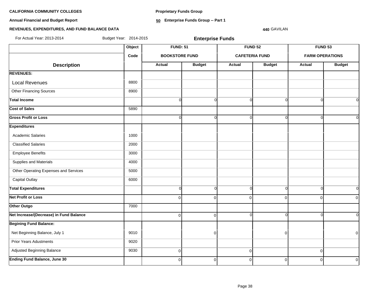**Proprietary Funds Group**

**Annual Financial and Budget Report**

**50 Enterprise Funds Group -- Part 1**

#### **REVENUES, EXPENDITURES, AND FUND BALANCE DATA**

**440** GAVILAN

**Object FUND: 51 FUND 52 FUND 53 Code BOOKSTORE FUND CAFETERIA FUND FARM OPERATIONS**  $\begin{array}{|c|c|c|c|c|c|}\n \hline\n \text{Description} & & \text{Actual} & \text{Actual} & \text{Budget} & \text{Actual} & \text{Budget} & \text{Actual} & \text{Budget} \end{array}$ **REVENUES:** Local Revenues and all the state of the state of the state of the state of the state of the state of the state of the state of the state of the state of the state of the state of the state of the state of the state of the Other Financing Sources 8900 **Total Income** 0 0 0 0 0 0 **Cost of Sales** 5890 **Gross Profit or Loss** 0 0 0 0 0 0 **Expenditures** Academic Salaries 1000 Classified Salaries 2000 Employee Benefits 3000 Supplies and Materials 4000 Other Operating Expenses and Services **1000** 5000 Capital Outlay 6000 **Total Expenditures** 0 0 0 0 0 0 **Net Profit or Loss** 0 0 0 0 0 0 **Other Outgo** 7000 **Net Increase/(Decrease) in Fund Balance** 0 0 0 0 0 0 **Begining Fund Balance:** Net Beginning Balance, July 1 9010 0 0 0 Prior Years Adustments **9020**  Adjusted Beginning Balance 9030 0 0 0 For Actual Year: 2013-2014 Budget Year: 2014-2015 **Enterprise Funds**

**Ending Fund Balance, June 30** 0 0 0 0 0 0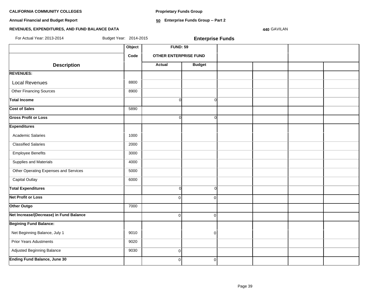**Proprietary Funds Group**

**Annual Financial and Budget Report**

**50 Enterprise Funds Group -- Part 2**

# **REVENUES, EXPENDITURES, AND FUND BALANCE DATA**

**440** GAVILAN

| For Actual Year: 2013-2014              | Budget Year: 2014-2015 |                              | <b>Enterprise Funds</b> |  |  |
|-----------------------------------------|------------------------|------------------------------|-------------------------|--|--|
|                                         | Object                 | <b>FUND: 59</b>              |                         |  |  |
|                                         | Code                   | <b>OTHER ENTERPRISE FUND</b> |                         |  |  |
| <b>Description</b>                      |                        | <b>Actual</b>                | <b>Budget</b>           |  |  |
| <b>REVENUES:</b>                        |                        |                              |                         |  |  |
| <b>Local Revenues</b>                   | 8800                   |                              |                         |  |  |
| <b>Other Financing Sources</b>          | 8900                   |                              |                         |  |  |
| <b>Total Income</b>                     |                        | $\Omega$                     | $\Omega$                |  |  |
| <b>Cost of Sales</b>                    | 5890                   |                              |                         |  |  |
| <b>Gross Profit or Loss</b>             |                        | $\Omega$                     | $\Omega$                |  |  |
| <b>Expenditures</b>                     |                        |                              |                         |  |  |
| <b>Academic Salaries</b>                | 1000                   |                              |                         |  |  |
| <b>Classified Salaries</b>              | 2000                   |                              |                         |  |  |
| <b>Employee Benefits</b>                | 3000                   |                              |                         |  |  |
| Supplies and Materials                  | 4000                   |                              |                         |  |  |
| Other Operating Expenses and Services   | 5000                   |                              |                         |  |  |
| <b>Capital Outlay</b>                   | 6000                   |                              |                         |  |  |
| <b>Total Expenditures</b>               |                        | $\Omega$                     | $\Omega$                |  |  |
| <b>Net Profit or Loss</b>               |                        | $\Omega$                     | $\Omega$                |  |  |
| Other Outgo                             | 7000                   |                              |                         |  |  |
| Net Increase/(Decrease) in Fund Balance |                        | $\Omega$                     | $\Omega$                |  |  |
| <b>Begining Fund Balance:</b>           |                        |                              |                         |  |  |
| Net Beginning Balance, July 1           | 9010                   |                              | $\overline{0}$          |  |  |
| <b>Prior Years Adustments</b>           | 9020                   |                              |                         |  |  |
| Adjusted Beginning Balance              | 9030                   | $\overline{0}$               |                         |  |  |
| <b>Ending Fund Balance, June 30</b>     |                        | $\mathbf{0}$                 | $\overline{0}$          |  |  |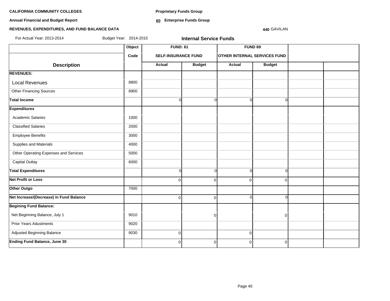**Proprietary Funds Group**

**Annual Financial and Budget Report**

**60 Enterprise Funds Group** 

### **440** GAVILAN

| For Actual Year: 2013-2014<br>Budget Year: 2014-2015<br><b>Internal Service Funds</b> |        |                            |               |                                     |                |  |  |  |
|---------------------------------------------------------------------------------------|--------|----------------------------|---------------|-------------------------------------|----------------|--|--|--|
|                                                                                       | Object | <b>FUND: 61</b>            |               |                                     | <b>FUND 69</b> |  |  |  |
|                                                                                       | Code   | <b>SELF-INSURANCE FUND</b> |               | <b>OTHER INTERNAL SERVICES FUND</b> |                |  |  |  |
| <b>Description</b>                                                                    |        | Actual                     | <b>Budget</b> | <b>Actual</b>                       | <b>Budget</b>  |  |  |  |
| <b>REVENUES:</b>                                                                      |        |                            |               |                                     |                |  |  |  |
| <b>Local Revenues</b>                                                                 | 8800   |                            |               |                                     |                |  |  |  |
| <b>Other Financing Sources</b>                                                        | 8900   |                            |               |                                     |                |  |  |  |
| <b>Total Income</b>                                                                   |        | $\Omega$                   | $\Omega$      | $\Omega$                            | $\Omega$       |  |  |  |
| <b>Expenditures</b>                                                                   |        |                            |               |                                     |                |  |  |  |
| Academic Salaries                                                                     | 1000   |                            |               |                                     |                |  |  |  |
| <b>Classified Salaries</b>                                                            | 2000   |                            |               |                                     |                |  |  |  |
| <b>Employee Benefits</b>                                                              | 3000   |                            |               |                                     |                |  |  |  |
| Supplies and Materials                                                                | 4000   |                            |               |                                     |                |  |  |  |
| Other Operating Expenses and Services                                                 | 5000   |                            |               |                                     |                |  |  |  |
| Capital Outlay                                                                        | 6000   |                            |               |                                     |                |  |  |  |
| <b>Total Expenditures</b>                                                             |        | $\overline{0}$             | $\Omega$      | $\Omega$                            | $\Omega$       |  |  |  |
| Net Profit or Loss                                                                    |        | $\overline{0}$             | $\Omega$      | $\Omega$                            | $\Omega$       |  |  |  |
| Other Outgo                                                                           | 7000   |                            |               |                                     |                |  |  |  |
| Net Increase/(Decrease) in Fund Balance                                               |        | $\overline{0}$             | $\mathbf 0$   | $\Omega$                            | $\Omega$       |  |  |  |
| <b>Begining Fund Balance:</b>                                                         |        |                            |               |                                     |                |  |  |  |
| Net Beginning Balance, July 1                                                         | 9010   |                            | 0             |                                     | $\overline{0}$ |  |  |  |
| <b>Prior Years Adustments</b>                                                         | 9020   |                            |               |                                     |                |  |  |  |
| Adjusted Beginning Balance                                                            | 9030   | $\overline{0}$             |               | $\mathbf 0$                         |                |  |  |  |
| <b>Ending Fund Balance, June 30</b>                                                   |        | $\overline{0}$             | 0             | $\mathbf 0$                         | $\overline{0}$ |  |  |  |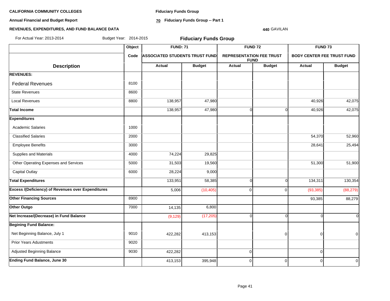**Annual Financial and Budget Report**

**Fiduciary Funds Group**

**70 Fiduciary Funds Group -- Part 1**

#### **440** GAVILAN

| For Actual Year: 2013-2014                                | Budget Year: 2014-2015 |                                       | <b>Fiduciary Funds Group</b> |                                 |                |                                   |                |  |  |
|-----------------------------------------------------------|------------------------|---------------------------------------|------------------------------|---------------------------------|----------------|-----------------------------------|----------------|--|--|
|                                                           | Object                 | <b>FUND: 71</b>                       |                              |                                 | <b>FUND 72</b> | FUND <sub>73</sub>                |                |  |  |
|                                                           | Code                   | <b>ASSOCIATED STUDENTS TRUST FUND</b> |                              | <b>REPRESENTATION FEE TRUST</b> | <b>FUND</b>    | <b>BODY CENTER FEE TRUST FUND</b> |                |  |  |
| <b>Description</b>                                        |                        | Actual                                | <b>Budget</b>                | <b>Actual</b>                   | <b>Budget</b>  | Actual                            | <b>Budget</b>  |  |  |
| <b>REVENUES:</b>                                          |                        |                                       |                              |                                 |                |                                   |                |  |  |
| <b>Federal Revenues</b>                                   | 8100                   |                                       |                              |                                 |                |                                   |                |  |  |
| <b>State Revenues</b>                                     | 8600                   |                                       |                              |                                 |                |                                   |                |  |  |
| <b>Local Revenues</b>                                     | 8800                   | 138,957                               | 47,980                       |                                 |                | 40,926                            | 42,075         |  |  |
| <b>Total Income</b>                                       |                        | 138,957                               | 47,980                       | $\Omega$                        | $\Omega$       | 40,926                            | 42,075         |  |  |
| <b>Expenditures</b>                                       |                        |                                       |                              |                                 |                |                                   |                |  |  |
| <b>Academic Salaries</b>                                  | 1000                   |                                       |                              |                                 |                |                                   |                |  |  |
| <b>Classified Salaries</b>                                | 2000                   |                                       |                              |                                 |                | 54,370                            | 52,960         |  |  |
| <b>Employee Benefits</b>                                  | 3000                   |                                       |                              |                                 |                | 28,641                            | 25,494         |  |  |
| Supplies and Materials                                    | 4000                   | 74,224                                | 29,825                       |                                 |                |                                   |                |  |  |
| Other Operating Expenses and Services                     | 5000                   | 31,503                                | 19,560                       |                                 |                | 51,300                            | 51,900         |  |  |
| <b>Capital Outlay</b>                                     | 6000                   | 28,224                                | 9,000                        |                                 |                |                                   |                |  |  |
| <b>Total Expenditures</b>                                 |                        | 133,951                               | 58,385                       | $\Omega$                        | 0              | 134,311                           | 130,354        |  |  |
| <b>Excess /(Deficiency) of Revenues over Expenditures</b> |                        | 5,006                                 | (10, 405)                    | $\Omega$                        | $\Omega$       | (93, 385)                         | (88, 279)      |  |  |
| <b>Other Financing Sources</b>                            | 8900                   |                                       |                              |                                 |                | 93,385                            | 88,279         |  |  |
| Other Outgo                                               | 7000                   | 14,135                                | 6,800                        |                                 |                |                                   |                |  |  |
| Net Increase/(Decrease) in Fund Balance                   |                        | (9, 129)                              | (17, 205)                    | $\Omega$                        | <sub>0</sub>   | ∩                                 | $\Omega$       |  |  |
| <b>Begining Fund Balance:</b>                             |                        |                                       |                              |                                 |                |                                   |                |  |  |
| Net Beginning Balance, July 1                             | 9010                   | 422,282                               | 413,153                      |                                 | $\Omega$       | $\Omega$                          | $\overline{0}$ |  |  |
| <b>Prior Years Adustments</b>                             | 9020                   |                                       |                              |                                 |                |                                   |                |  |  |
| Adjusted Beginning Balance                                | 9030                   | 422,282                               |                              | 0                               |                | $\Omega$                          |                |  |  |
| <b>Ending Fund Balance, June 30</b>                       |                        | 413,153                               | 395,948                      | $\pmb{0}$                       | $\mathbf 0$    | $\Omega$                          | $\overline{0}$ |  |  |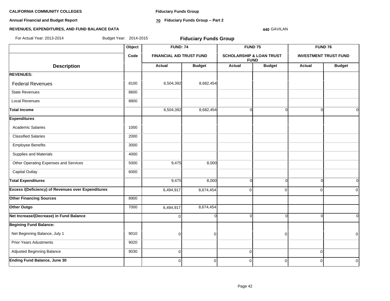**Annual Financial and Budget Report**

**Fiduciary Funds Group**

**70 Fiduciary Funds Group -- Part 2**

#### **440** GAVILAN

| For Actual Year: 2013-2014                                | Budget Year: 2014-2015 |                 | <b>Fiduciary Funds Group</b>    |               |                                                    |                |                              |  |  |  |
|-----------------------------------------------------------|------------------------|-----------------|---------------------------------|---------------|----------------------------------------------------|----------------|------------------------------|--|--|--|
|                                                           | Object                 | <b>FUND: 74</b> |                                 |               | FUND <sub>75</sub>                                 | <b>FUND 76</b> |                              |  |  |  |
|                                                           | Code                   |                 | <b>FINANCIAL AID TRUST FUND</b> |               | <b>SCHOLARSHIP &amp; LOAN TRUST</b><br><b>FUND</b> |                | <b>INVESTMENT TRUST FUND</b> |  |  |  |
| <b>Description</b>                                        |                        | Actual          | <b>Budget</b>                   | <b>Actual</b> | <b>Budget</b>                                      | Actual         | <b>Budget</b>                |  |  |  |
| <b>REVENUES:</b>                                          |                        |                 |                                 |               |                                                    |                |                              |  |  |  |
| <b>Federal Revenues</b>                                   | 8100                   | 6,504,392       | 8,682,454                       |               |                                                    |                |                              |  |  |  |
| <b>State Revenues</b>                                     | 8600                   |                 |                                 |               |                                                    |                |                              |  |  |  |
| <b>Local Revenues</b>                                     | 8800                   |                 |                                 |               |                                                    |                |                              |  |  |  |
| <b>Total Income</b>                                       |                        | 6,504,392       | 8,682,454                       | $\mathbf 0$   | $\Omega$                                           | $\Omega$       | $\overline{O}$               |  |  |  |
| <b>Expenditures</b>                                       |                        |                 |                                 |               |                                                    |                |                              |  |  |  |
| <b>Academic Salaries</b>                                  | 1000                   |                 |                                 |               |                                                    |                |                              |  |  |  |
| <b>Classified Salaries</b>                                | 2000                   |                 |                                 |               |                                                    |                |                              |  |  |  |
| <b>Employee Benefits</b>                                  | 3000                   |                 |                                 |               |                                                    |                |                              |  |  |  |
| Supplies and Materials                                    | 4000                   |                 |                                 |               |                                                    |                |                              |  |  |  |
| Other Operating Expenses and Services                     | 5000                   | 9,475           | 8,000                           |               |                                                    |                |                              |  |  |  |
| Capital Outlay                                            | 6000                   |                 |                                 |               |                                                    |                |                              |  |  |  |
| <b>Total Expenditures</b>                                 |                        | 9,475           | 8,000                           | $\Omega$      | Ŭ                                                  | $\Omega$       | $\overline{0}$               |  |  |  |
| <b>Excess /(Deficiency) of Revenues over Expenditures</b> |                        | 6,494,917       | 8,674,454                       | $\Omega$      | $\Omega$                                           | $\Omega$       | $\overline{0}$               |  |  |  |
| <b>Other Financing Sources</b>                            | 8900                   |                 |                                 |               |                                                    |                |                              |  |  |  |
| Other Outgo                                               | 7000                   | 6,494,917       | 8,674,454                       |               |                                                    |                |                              |  |  |  |
| Net Increase/(Decrease) in Fund Balance                   |                        | 0               | $\Omega$                        | ∩             | ∩                                                  | r              | $\Omega$                     |  |  |  |
| <b>Begining Fund Balance:</b>                             |                        |                 |                                 |               |                                                    |                |                              |  |  |  |
| Net Beginning Balance, July 1                             | 9010                   | O               | 0                               |               | $\Omega$                                           |                | $\overline{0}$               |  |  |  |
| <b>Prior Years Adustments</b>                             | 9020                   |                 |                                 |               |                                                    |                |                              |  |  |  |
| Adjusted Beginning Balance                                | 9030                   | $\mathbf 0$     |                                 | $\mathbf 0$   |                                                    | $\mathbf 0$    |                              |  |  |  |
| <b>Ending Fund Balance, June 30</b>                       |                        | $\overline{0}$  | $\overline{0}$                  | $\mathbf 0$   | $\overline{0}$                                     | $\mathbf 0$    | $\overline{0}$               |  |  |  |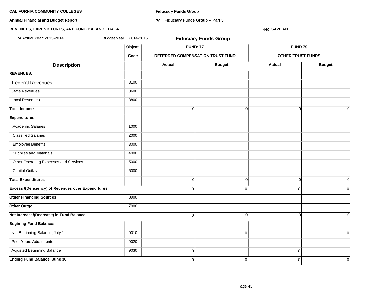**Annual Financial and Budget Report**

**Fiduciary Funds Group**

**70 Fiduciary Funds Group -- Part 3**

### **440** GAVILAN

| For Actual Year: 2013-2014                                | Budget Year: 2014-2015 |                | <b>Fiduciary Funds Group</b>     |                          |                |  |  |
|-----------------------------------------------------------|------------------------|----------------|----------------------------------|--------------------------|----------------|--|--|
|                                                           | Object                 |                | <b>FUND: 77</b>                  | FUND <sub>79</sub>       |                |  |  |
|                                                           | Code                   |                | DEFERRED COMPENSATION TRUST FUND | <b>OTHER TRUST FUNDS</b> |                |  |  |
| <b>Description</b>                                        |                        | Actual         | <b>Budget</b>                    | Actual                   | <b>Budget</b>  |  |  |
| <b>REVENUES:</b>                                          |                        |                |                                  |                          |                |  |  |
| <b>Federal Revenues</b>                                   | 8100                   |                |                                  |                          |                |  |  |
| <b>State Revenues</b>                                     | 8600                   |                |                                  |                          |                |  |  |
| <b>Local Revenues</b>                                     | 8800                   |                |                                  |                          |                |  |  |
| <b>Total Income</b>                                       |                        | $\overline{0}$ | $\Omega$                         | $\Omega$                 | $\Omega$       |  |  |
| <b>Expenditures</b>                                       |                        |                |                                  |                          |                |  |  |
| <b>Academic Salaries</b>                                  | 1000                   |                |                                  |                          |                |  |  |
| <b>Classified Salaries</b>                                | 2000                   |                |                                  |                          |                |  |  |
| <b>Employee Benefits</b>                                  | 3000                   |                |                                  |                          |                |  |  |
| Supplies and Materials                                    | 4000                   |                |                                  |                          |                |  |  |
| Other Operating Expenses and Services                     | 5000                   |                |                                  |                          |                |  |  |
| Capital Outlay                                            | 6000                   |                |                                  |                          |                |  |  |
| <b>Total Expenditures</b>                                 |                        | $\Omega$       | $\Omega$                         | $\Omega$                 | $\Omega$       |  |  |
| <b>Excess /(Deficiency) of Revenues over Expenditures</b> |                        | $\Omega$       | $\Omega$                         | $\Omega$                 | $\overline{0}$ |  |  |
| <b>Other Financing Sources</b>                            | 8900                   |                |                                  |                          |                |  |  |
| Other Outgo                                               | 7000                   |                |                                  |                          |                |  |  |
| Net Increase/(Decrease) in Fund Balance                   |                        | $\overline{0}$ | $\Omega$                         | $\Omega$                 | $\overline{0}$ |  |  |
| <b>Begining Fund Balance:</b>                             |                        |                |                                  |                          |                |  |  |
| Net Beginning Balance, July 1                             | 9010                   |                | 0                                |                          | $\overline{0}$ |  |  |
| <b>Prior Years Adustments</b>                             | 9020                   |                |                                  |                          |                |  |  |
| Adjusted Beginning Balance                                | 9030                   | $\overline{0}$ |                                  | $\overline{0}$           |                |  |  |
| <b>Ending Fund Balance, June 30</b>                       |                        | $\mathbf 0$    | 0                                | $\mathbf 0$              | $\overline{0}$ |  |  |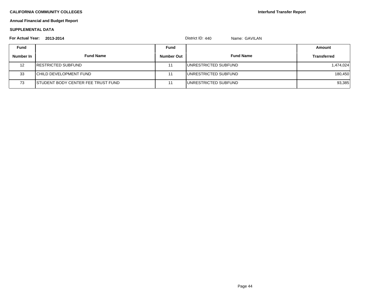**Interfund Transfer Report**

# **Annual Financial and Budget Report**

### **SUPPLEMENTAL DATA**

| For Actual Year: | 2013-2014                                  |                   | District ID: $440$<br>Name: GAVILAN |                    |
|------------------|--------------------------------------------|-------------------|-------------------------------------|--------------------|
| <b>Fund</b>      |                                            | Fund              |                                     | Amount             |
| Number In        | <b>Fund Name</b>                           | <b>Number Out</b> | <b>Fund Name</b>                    | <b>Transferred</b> |
| 12               | <b>IRESTRICTED SUBFUND</b>                 |                   | IUNRESTRICTED SUBFUND               | 1,474,024          |
| 33               | <b>ICHILD DEVELOPMENT FUND</b>             |                   | <b>I</b> UNRESTRICTED SUBFUND       | 180,450            |
| 73               | <b>ISTUDENT BODY CENTER FEE TRUST FUND</b> |                   | IUNRESTRICTED SUBFUND               | 93,385             |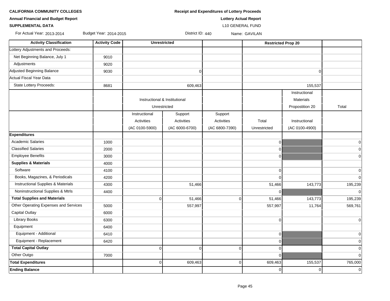| <b>Annual Financial and Budget Report</b> |                        | <b>Lottery Actual Report</b>      |                               |                         |                           |                 |                |  |  |  |  |
|-------------------------------------------|------------------------|-----------------------------------|-------------------------------|-------------------------|---------------------------|-----------------|----------------|--|--|--|--|
| <b>SUPPLEMENTAL DATA</b>                  |                        |                                   |                               | <b>L10 GENERAL FUND</b> |                           |                 |                |  |  |  |  |
| For Actual Year: 2013-2014                | Budget Year: 2014-2015 | District ID: 440<br>Name: GAVILAN |                               |                         |                           |                 |                |  |  |  |  |
| <b>Activity Classification</b>            | <b>Activity Code</b>   |                                   | <b>Unrestricted</b>           |                         | <b>Restricted Prop 20</b> |                 |                |  |  |  |  |
| Lottery Adjustments and Proceeds:         |                        |                                   |                               |                         |                           |                 |                |  |  |  |  |
| Net Beginning Balance, July 1             | 9010                   |                                   |                               |                         |                           |                 |                |  |  |  |  |
| Adjustments                               | 9020                   |                                   |                               |                         |                           |                 |                |  |  |  |  |
| Adjusted Beginning Balance                | 9030                   |                                   | $\overline{0}$                |                         |                           | 0               |                |  |  |  |  |
| Actual Fiscal Year Data                   |                        |                                   |                               |                         |                           |                 |                |  |  |  |  |
| State Lottery Proceeds:                   | 8681                   |                                   | 609,463                       |                         |                           | 155,537         |                |  |  |  |  |
|                                           |                        |                                   |                               |                         |                           | Instructional   |                |  |  |  |  |
|                                           |                        |                                   | Instructional & Institutional |                         |                           | Materials       |                |  |  |  |  |
|                                           |                        |                                   | Unrestricted                  |                         |                           | Propostition 20 | Total          |  |  |  |  |
|                                           |                        | Instructional                     | Support                       | Support                 |                           |                 |                |  |  |  |  |
|                                           |                        | Activities                        | Activities                    | Activities              | Total                     | Instructional   |                |  |  |  |  |
|                                           |                        | (AC 0100-5900)                    | (AC 6000-6700)                | (AC 6800-7390)          | Unrestricted              | (AC 0100-4900)  |                |  |  |  |  |
| <b>Expenditures</b>                       |                        |                                   |                               |                         |                           |                 |                |  |  |  |  |
| <b>Academic Salaries</b>                  | 1000                   |                                   |                               |                         | 0                         |                 | 0              |  |  |  |  |
| <b>Classified Salaries</b>                | 2000                   |                                   |                               |                         | 0                         |                 | 0              |  |  |  |  |
| <b>Employee Benefits</b>                  | 3000                   |                                   |                               |                         | 0                         |                 | $\mathbf 0$    |  |  |  |  |
| <b>Supplies &amp; Materials</b>           | 4000                   |                                   |                               |                         |                           |                 |                |  |  |  |  |
| Software                                  | 4100                   |                                   |                               |                         | $\mathbf 0$               |                 | $\mathbf 0$    |  |  |  |  |
| Books, Magazines, & Periodicals           | 4200                   |                                   |                               |                         | $\Omega$                  |                 | $\Omega$       |  |  |  |  |
| Instructional Supplies & Materials        | 4300                   |                                   | 51,466                        |                         | 51,466                    | 143,773         | 195,239        |  |  |  |  |
| Noninstructional Supplies & Mtrls         | 4400                   |                                   |                               |                         | $\Omega$                  |                 | $\Omega$       |  |  |  |  |
| <b>Total Supplies and Materials</b>       |                        | $\mathbf 0$                       | 51,466                        | $\mathbf 0$             | 51,466                    | 143,773         | 195,239        |  |  |  |  |
| Other Operating Expenses and Services     | 5000                   |                                   | 557,997                       |                         | 557,997                   | 11,764          | 569,761        |  |  |  |  |
| Capital Outlay                            | 6000                   |                                   |                               |                         |                           |                 |                |  |  |  |  |
| Library Books                             | 6300                   |                                   |                               |                         | $\mathbf 0$               |                 | $\mathbf 0$    |  |  |  |  |
| Equipment                                 | 6400                   |                                   |                               |                         |                           |                 |                |  |  |  |  |
| Equipment - Additional                    | 6410                   |                                   |                               |                         | $\overline{0}$            |                 | 0              |  |  |  |  |
| Equipment - Replacement                   | 6420                   |                                   |                               |                         | 0                         |                 | $\overline{0}$ |  |  |  |  |
| <b>Total Capital Outlay</b>               |                        | 0                                 | $\overline{0}$                | 0                       | $\mathbf 0$               |                 | $\Omega$       |  |  |  |  |
| Other Outgo                               | 7000                   |                                   |                               |                         | $\mathbf 0$               |                 | $\Omega$       |  |  |  |  |
| <b>Total Expenditures</b>                 |                        | $\overline{0}$                    | 609,463                       | 0                       | 609,463                   | 155,537         | 765,000        |  |  |  |  |
| <b>Ending Balance</b>                     |                        |                                   |                               |                         | 0                         | $\overline{0}$  | $\Omega$       |  |  |  |  |

**CALIFORNIA COMMUNITY COLLEGES Receipt and Expenditures of Lottery Proceeds**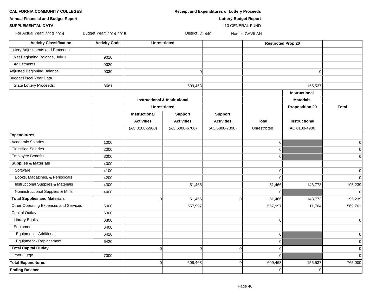**CALIFORNIA COMMUNITY COLLEGES Receipt and Expenditures of Lottery Proceeds** 

**Annual Financial and Budget Report Lottery Budget Report**

**SUPPLEMENTAL DATA** L10 GENERAL FUND

For Actual Year: 2013-2014 Budget Year: 2014-2015 **District ID: 440** Name: GAVILAN

| <b>Activity Classification</b>                | <b>Activity Code</b> | <b>Unrestricted</b>                      |                   |                   | <b>Restricted Prop 20</b> |                        |                |  |
|-----------------------------------------------|----------------------|------------------------------------------|-------------------|-------------------|---------------------------|------------------------|----------------|--|
| Lottery Adjustments and Proceeds:             |                      |                                          |                   |                   |                           |                        |                |  |
| Net Beginning Balance, July 1                 | 9010                 |                                          |                   |                   |                           |                        |                |  |
| Adjustments                                   | 9020                 |                                          |                   |                   |                           |                        |                |  |
| Adjusted Beginning Balance                    | 9030                 | $\mathbf 0$                              |                   |                   | $\Omega$                  |                        |                |  |
| Budget Fiscal Year Data                       |                      |                                          |                   |                   |                           |                        |                |  |
| <b>State Lottery Proceeds:</b>                | 8681                 |                                          | 609,463           |                   |                           | 155,537                |                |  |
|                                               |                      |                                          |                   |                   |                           | Instructional          |                |  |
|                                               |                      | <b>Instructional &amp; Institutional</b> |                   |                   | <b>Materials</b>          |                        |                |  |
|                                               |                      | <b>Unrestricted</b>                      |                   |                   |                           | <b>Propostition 20</b> | <b>Total</b>   |  |
|                                               |                      | Instructional                            | <b>Support</b>    | <b>Support</b>    |                           |                        |                |  |
|                                               |                      | <b>Activities</b>                        | <b>Activities</b> | <b>Activities</b> | <b>Total</b>              | <b>Instructional</b>   |                |  |
|                                               |                      | (AC 0100-5900)                           | (AC 6000-6700)    | (AC 6800-7390)    | Unrestricted              | (AC 0100-4900)         |                |  |
| <b>Expenditures</b>                           |                      |                                          |                   |                   |                           |                        |                |  |
| <b>Academic Salaries</b>                      | 1000                 |                                          |                   |                   | $\overline{0}$            |                        | $\overline{0}$ |  |
| <b>Classified Salaries</b>                    | 2000                 |                                          |                   |                   | $\overline{0}$            |                        | $\overline{0}$ |  |
| <b>Employee Benefits</b>                      | 3000                 |                                          |                   |                   | $\overline{0}$            |                        | $\mathbf 0$    |  |
| <b>Supplies &amp; Materials</b>               | 4000                 |                                          |                   |                   |                           |                        |                |  |
| Software                                      | 4100                 |                                          |                   |                   | $\Omega$                  |                        | $\overline{0}$ |  |
| Books, Magazines, & Periodicals               | 4200                 |                                          |                   |                   | $\Omega$                  |                        | $\overline{0}$ |  |
| <b>Instructional Supplies &amp; Materials</b> | 4300                 |                                          | 51,466            |                   | 51,466                    | 143,773                | 195,239        |  |
| Noninstructional Supplies & Mtrls             | 4400                 |                                          |                   |                   | $\Omega$                  |                        | $\overline{0}$ |  |
| <b>Total Supplies and Materials</b>           |                      | $\overline{0}$                           | 51,466            | $\Omega$          | 51,466                    | 143,773                | 195,239        |  |
| Other Operating Expenses and Services         | 5000                 |                                          | 557,997           |                   | 557,997                   | 11,764                 | 569,761        |  |
| <b>Capital Outlay</b>                         | 6000                 |                                          |                   |                   |                           |                        |                |  |
| <b>Library Books</b>                          | 6300                 |                                          |                   |                   | 0                         |                        | $\overline{0}$ |  |
| Equipment                                     | 6400                 |                                          |                   |                   |                           |                        |                |  |
| Equipment - Additional                        | 6410                 |                                          |                   |                   | $\overline{0}$            |                        | 0              |  |
| Equipment - Replacement                       | 6420                 |                                          |                   |                   | $\overline{0}$            |                        | $\mathbf 0$    |  |
| <b>Total Capital Outlay</b>                   |                      | $\overline{0}$                           | $\Omega$          | 0                 | $\overline{0}$            |                        | $\mathbf 0$    |  |
| Other Outgo                                   | 7000                 |                                          |                   |                   | $\mathbf{0}$              |                        | $\Omega$       |  |
| <b>Total Expenditures</b>                     |                      | $\overline{0}$                           | 609,463           | 0                 | 609,463                   | 155,537                | 765,000        |  |
| <b>Ending Balance</b>                         |                      |                                          |                   |                   | $\overline{0}$            | $\mathbf 0$            |                |  |